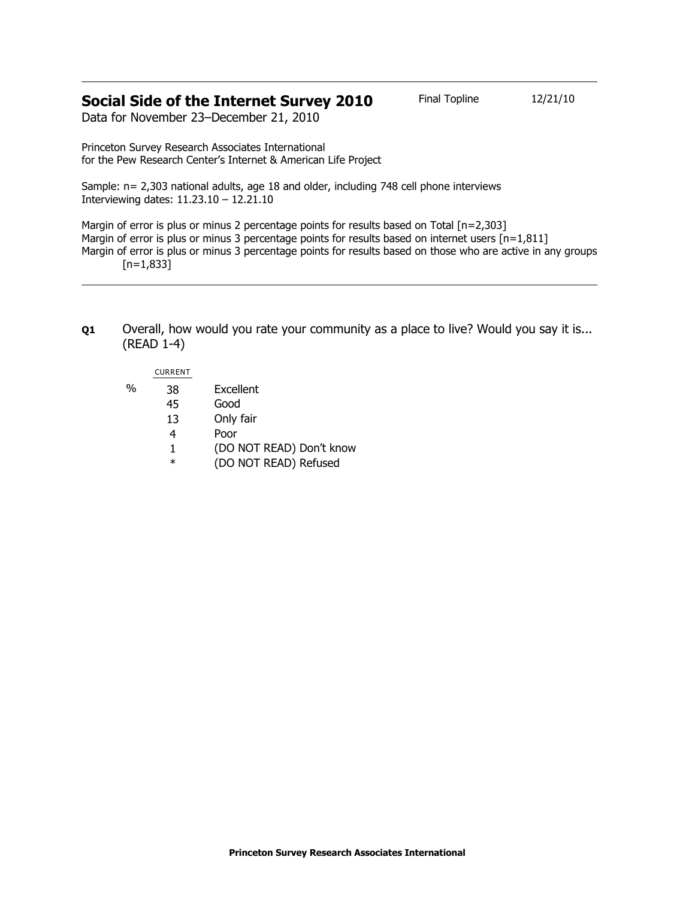# **Social Side of the Internet Survey 2010** Final Topline 12/21/10

Data for November 23–December 21, 2010

Princeton Survey Research Associates International for the Pew Research Center's Internet & American Life Project

Sample: n= 2,303 national adults, age 18 and older, including 748 cell phone interviews Interviewing dates: 11.23.10 – 12.21.10

Margin of error is plus or minus 2 percentage points for results based on Total [n=2,303] Margin of error is plus or minus 3 percentage points for results based on internet users  $[n=1,811]$ Margin of error is plus or minus 3 percentage points for results based on those who are active in any groups  $[n=1,833]$ 

**Q1** Overall, how would you rate your community as a place to live? Would you say it is... (READ 1-4)

## CURRENT

- % 38 Excellent
	- 45 Good
		- 13 Only fair
		- 4 Poor
		- 1 (DO NOT READ) Don't know
		- \* (DO NOT READ) Refused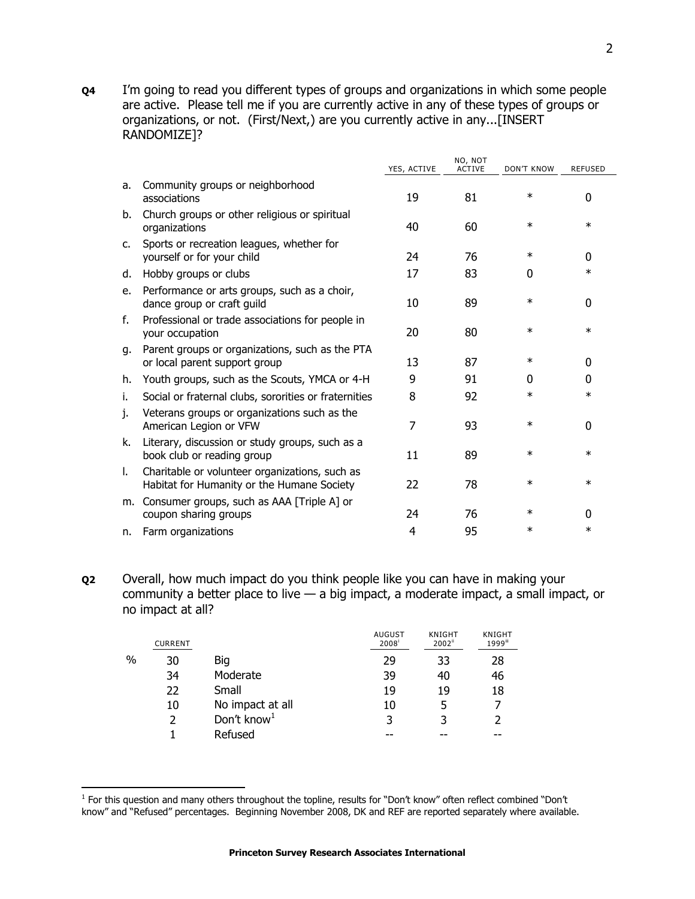**Q4** I'm going to read you different types of groups and organizations in which some people are active. Please tell me if you are currently active in any of these types of groups or organizations, or not. (First/Next,) are you currently active in any...[INSERT RANDOMIZE]?

|              |                                                                                              | YES, ACTIVE | NO, NOT<br><b>ACTIVE</b> | <b>DON'T KNOW</b> | <b>REFUSED</b> |
|--------------|----------------------------------------------------------------------------------------------|-------------|--------------------------|-------------------|----------------|
| a.           | Community groups or neighborhood<br>associations                                             | 19          | 81                       | $\ast$            | 0              |
| b.           | Church groups or other religious or spiritual<br>organizations                               | 40          | 60                       | $\ast$            | $\ast$         |
| $\mathsf{C}$ | Sports or recreation leagues, whether for<br>yourself or for your child                      | 24          | 76                       | $\ast$            | 0              |
| d.           | Hobby groups or clubs                                                                        | 17          | 83                       | 0                 | $\ast$         |
| e.           | Performance or arts groups, such as a choir,<br>dance group or craft guild                   | 10          | 89                       | $\ast$            | $\Omega$       |
| f.           | Professional or trade associations for people in<br>your occupation                          | 20          | 80                       | $\ast$            | $\ast$         |
| g.           | Parent groups or organizations, such as the PTA<br>or local parent support group             | 13          | 87                       | $\ast$            | 0              |
| h.           | Youth groups, such as the Scouts, YMCA or 4-H                                                | 9           | 91                       | 0                 | 0              |
| i.           | Social or fraternal clubs, sororities or fraternities                                        | 8           | 92                       | $\ast$            | $\ast$         |
| J.           | Veterans groups or organizations such as the<br>American Legion or VFW                       | 7           | 93                       | $\ast$            | 0              |
| k.           | Literary, discussion or study groups, such as a<br>book club or reading group                | 11          | 89                       | $\ast$            | $\ast$         |
| L.           | Charitable or volunteer organizations, such as<br>Habitat for Humanity or the Humane Society | 22          | 78                       | $\ast$            | $\ast$         |
| m.           | Consumer groups, such as AAA [Triple A] or<br>coupon sharing groups                          | 24          | 76                       | $\ast$            | 0              |
| n.           | Farm organizations                                                                           | 4           | 95                       | ж                 | $\ast$         |

**Q2** Overall, how much impact do you think people like you can have in making your community a better place to live  $-$  a big impact, a moderate impact, a small impact, or no impact at all?

|   | <b>CURRENT</b> |                         | <b>AUGUST</b><br>2008 | <b>KNIGHT</b><br>2002 <sup>ii</sup> | <b>KNIGHT</b><br>1999iii |
|---|----------------|-------------------------|-----------------------|-------------------------------------|--------------------------|
| % | 30             | Big                     | 29                    | 33                                  | 28                       |
|   | 34             | Moderate                | 39                    | 40                                  | 46                       |
|   | 22             | Small                   | 19                    | 19                                  | 18                       |
|   | 10             | No impact at all        | 10                    | 5                                   |                          |
|   | 2              | Don't know <sup>1</sup> | 3                     | 3                                   |                          |
|   |                | Refused                 |                       |                                     | --                       |

The this question and many others throughout the topline, results for "Don't know" often reflect combined "Don't<br>The this question and many others throughout the topline, results for "Don't know" often reflect combined "Do know" and "Refused" percentages. Beginning November 2008, DK and REF are reported separately where available.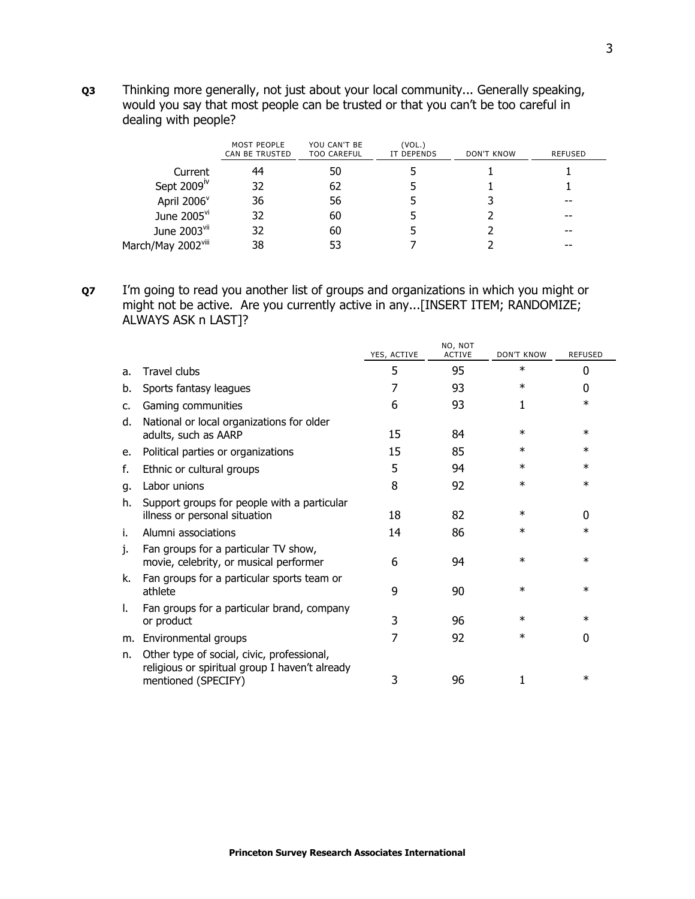**Q3** Thinking more generally, not just about your local community... Generally speaking, would you say that most people can be trusted or that you can't be too careful in dealing with people?

|                          | MOST PEOPLE<br><b>CAN BE TRUSTED</b> | YOU CAN'T BE<br><b>TOO CAREFUL</b> | (VOL.)<br>IT DEPENDS | DON'T KNOW | REFUSED |
|--------------------------|--------------------------------------|------------------------------------|----------------------|------------|---------|
| Current                  | 44                                   | 50                                 |                      |            |         |
| Sept 2009 <sup>iv</sup>  | 32                                   | 62                                 |                      |            |         |
| April 2006 <sup>v</sup>  | 36                                   | 56                                 |                      |            | --      |
| June 2005 <sup>vi</sup>  | 32                                   | 60                                 |                      |            | --      |
| June 2003 <sup>vii</sup> | 32                                   | 60                                 |                      |            |         |
| March/May 2002viii       | 38                                   | 53                                 |                      |            |         |

**Q7** I'm going to read you another list of groups and organizations in which you might or might not be active. Are you currently active in any...[INSERT ITEM; RANDOMIZE; ALWAYS ASK n LAST]?

|    |                                                                                                                     | YES, ACTIVE | NO, NOT<br><b>ACTIVE</b> | <b>DON'T KNOW</b> | <b>REFUSED</b> |
|----|---------------------------------------------------------------------------------------------------------------------|-------------|--------------------------|-------------------|----------------|
| a. | <b>Travel clubs</b>                                                                                                 | 5           | 95                       | $\ast$            | 0              |
| b. | Sports fantasy leagues                                                                                              | 7           | 93                       | $\ast$            | 0              |
| c. | Gaming communities                                                                                                  | 6           | 93                       | 1                 | $\ast$         |
| d. | National or local organizations for older<br>adults, such as AARP                                                   | 15          | 84                       | $\ast$            | $\ast$         |
| е. | Political parties or organizations                                                                                  | 15          | 85                       | ∗                 | $\ast$         |
| f. | Ethnic or cultural groups                                                                                           | 5           | 94                       | $\ast$            | $\ast$         |
| g. | Labor unions                                                                                                        | 8           | 92                       | $\ast$            | $\ast$         |
| h. | Support groups for people with a particular<br>illness or personal situation                                        | 18          | 82                       | $\ast$            | 0              |
| i. | Alumni associations                                                                                                 | 14          | 86                       | $\ast$            | $\ast$         |
| 1. | Fan groups for a particular TV show,<br>movie, celebrity, or musical performer                                      | 6           | 94                       | $\ast$            | $\ast$         |
| k. | Fan groups for a particular sports team or<br>athlete                                                               | 9           | 90                       | $\ast$            | ∗              |
| ı. | Fan groups for a particular brand, company<br>or product                                                            | 3           | 96                       | $\ast$            | $\ast$         |
| m. | Environmental groups                                                                                                | 7           | 92                       | ∗                 | 0              |
| n. | Other type of social, civic, professional,<br>religious or spiritual group I haven't already<br>mentioned (SPECIFY) | 3           | 96                       | 1                 | $\ast$         |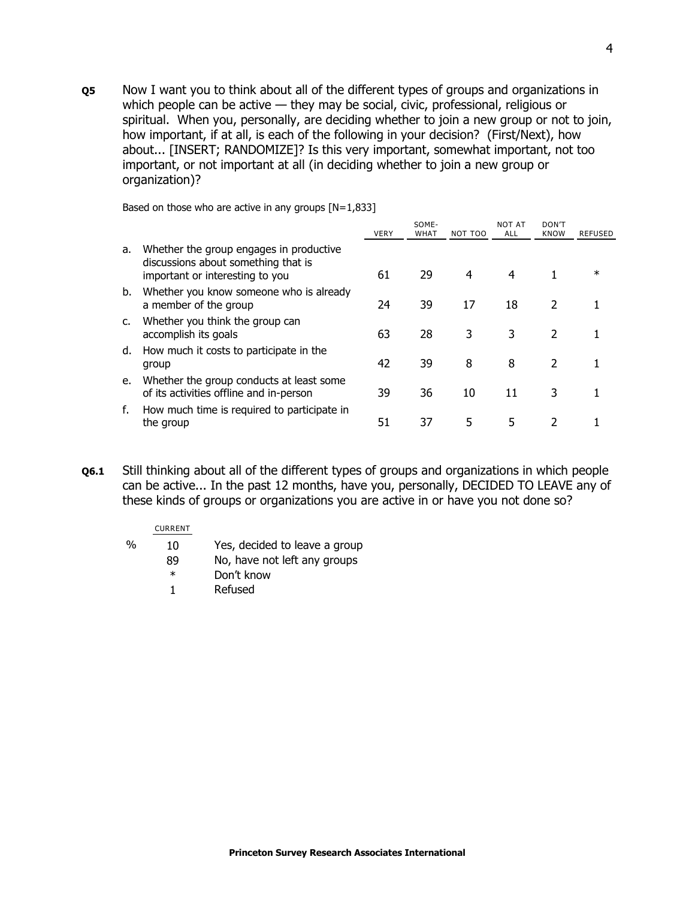**Q5** Now I want you to think about all of the different types of groups and organizations in which people can be active — they may be social, civic, professional, religious or spiritual. When you, personally, are deciding whether to join a new group or not to join, how important, if at all, is each of the following in your decision? (First/Next), how about... [INSERT; RANDOMIZE]? Is this very important, somewhat important, not too important, or not important at all (in deciding whether to join a new group or organization)?

|    |                                                                                                                   | <b>VERY</b> | SOME-<br><b>WHAT</b> | NOT TOO | <b>NOT AT</b><br>ALL | DON'T<br><b>KNOW</b> | REFUSED |
|----|-------------------------------------------------------------------------------------------------------------------|-------------|----------------------|---------|----------------------|----------------------|---------|
| а. | Whether the group engages in productive<br>discussions about something that is<br>important or interesting to you | 61          | 29                   | 4       | 4                    |                      | $\ast$  |
| b. | Whether you know someone who is already<br>a member of the group                                                  | 24          | 39                   | 17      | 18                   | 2                    |         |
| c. | Whether you think the group can<br>accomplish its goals                                                           | 63          | 28                   | 3       | 3                    | $\mathcal{P}$        |         |
| d. | How much it costs to participate in the<br>group                                                                  | 42          | 39                   | 8       | 8                    | $\mathcal{P}$        |         |
| e. | Whether the group conducts at least some<br>of its activities offline and in-person                               | 39          | 36                   | 10      | 11                   | 3                    |         |
| f. | How much time is required to participate in<br>the group                                                          | 51          | 37                   | 5       | 5                    | 2                    |         |

Based on those who are active in any groups  $[N=1,833]$ 

**Q6.1** Still thinking about all of the different types of groups and organizations in which people can be active... In the past 12 months, have you, personally, DECIDED TO LEAVE any of these kinds of groups or organizations you are active in or have you not done so?

#### CURRENT

- % 10 Yes, decided to leave a group
	- 89 No, have not left any groups
	- \* Don't know
	- 1 Refused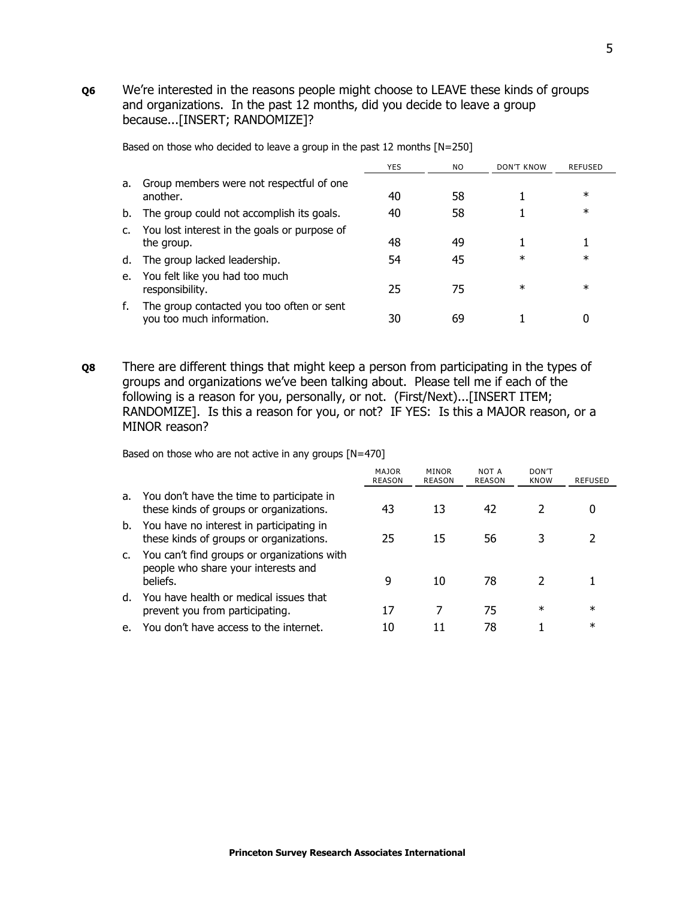**Q6** We're interested in the reasons people might choose to LEAVE these kinds of groups and organizations. In the past 12 months, did you decide to leave a group because...[INSERT; RANDOMIZE]?

|    |                                                                        | <b>YES</b> | NO. | DON'T KNOW | REFUSED |
|----|------------------------------------------------------------------------|------------|-----|------------|---------|
| a. | Group members were not respectful of one<br>another.                   | 40         | 58  |            | $\ast$  |
| b. | The group could not accomplish its goals.                              | 40         | 58  |            | $\ast$  |
| c. | You lost interest in the goals or purpose of<br>the group.             | 48         | 49  |            |         |
| d. | The group lacked leadership.                                           | 54         | 45  | $\ast$     | $\ast$  |
| e. | You felt like you had too much<br>responsibility.                      | 25         | 75  | $\ast$     | $\ast$  |
|    | The group contacted you too often or sent<br>you too much information. | 30         | 69  |            |         |

Based on those who decided to leave a group in the past 12 months [N=250]

**Q8** There are different things that might keep a person from participating in the types of groups and organizations we've been talking about. Please tell me if each of the following is a reason for you, personally, or not. (First/Next)...[INSERT ITEM; RANDOMIZE]. Is this a reason for you, or not? IF YES: Is this a MAJOR reason, or a MINOR reason?

Based on those who are not active in any groups [N=470]

|    |                                                                                                | <b>MAJOR</b><br><b>REASON</b> | <b>MINOR</b><br><b>REASON</b> | NOT A<br><b>REASON</b> | DON'T<br><b>KNOW</b> | <b>REFUSED</b> |
|----|------------------------------------------------------------------------------------------------|-------------------------------|-------------------------------|------------------------|----------------------|----------------|
| a. | You don't have the time to participate in<br>these kinds of groups or organizations.           | 43                            | 13                            | 42                     |                      | 0              |
| b. | You have no interest in participating in<br>these kinds of groups or organizations.            | 25                            | 15                            | 56                     |                      |                |
|    | You can't find groups or organizations with<br>people who share your interests and<br>beliefs. | 9                             | 10                            | 78                     |                      |                |
| d. | You have health or medical issues that<br>prevent you from participating.                      | 17                            |                               | 75                     | $\ast$               | $^\star$       |
|    | You don't have access to the internet.                                                         | 10                            | 11                            | 78                     |                      | $\ast$         |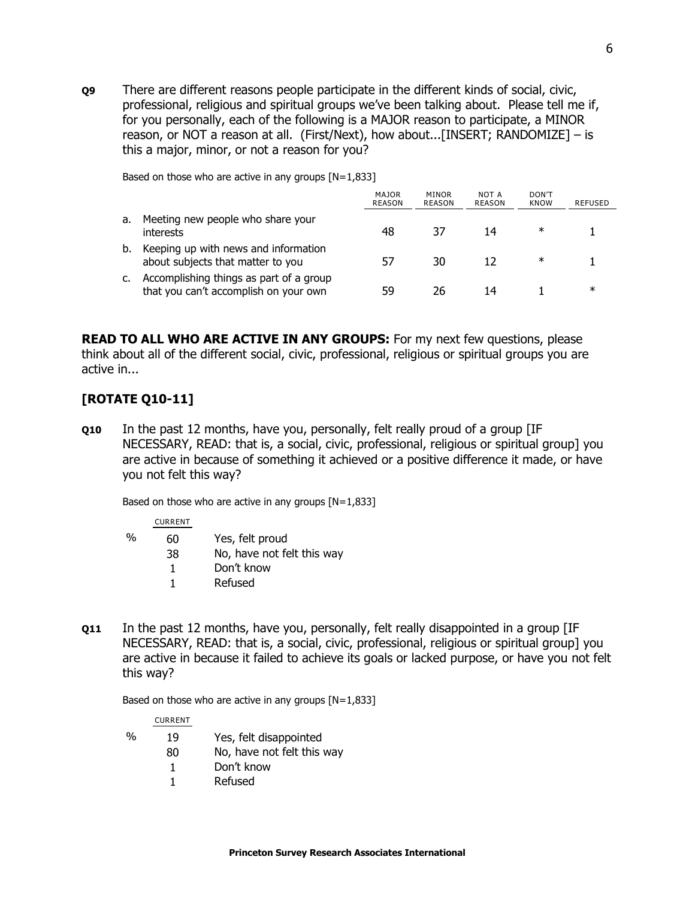**Q9** There are different reasons people participate in the different kinds of social, civic, professional, religious and spiritual groups we've been talking about. Please tell me if, for you personally, each of the following is a MAJOR reason to participate, a MINOR reason, or NOT a reason at all. (First/Next), how about...[INSERT; RANDOMIZE] – is this a major, minor, or not a reason for you?

Based on those who are active in any groups  $[N=1,833]$ 

|    |                                                                                  | <b>MAJOR</b><br><b>REASON</b> | MINOR<br><b>REASON</b> | NOT A<br>REASON | DON'T<br><b>KNOW</b> | <b>REFUSED</b> |
|----|----------------------------------------------------------------------------------|-------------------------------|------------------------|-----------------|----------------------|----------------|
| a. | Meeting new people who share your<br>interests                                   | 48                            | 37                     | 14              | ∗                    |                |
| b. | Keeping up with news and information<br>about subjects that matter to you        | 57                            | 30                     | 12              | ∗                    |                |
|    | Accomplishing things as part of a group<br>that you can't accomplish on your own | 59                            | 26                     | 14              |                      | ж              |

**READ TO ALL WHO ARE ACTIVE IN ANY GROUPS:** For my next few questions, please think about all of the different social, civic, professional, religious or spiritual groups you are active in...

# **[ROTATE Q10-11]**

**Q10** In the past 12 months, have you, personally, felt really proud of a group [IF NECESSARY, READ: that is, a social, civic, professional, religious or spiritual group] you are active in because of something it achieved or a positive difference it made, or have you not felt this way?

Based on those who are active in any groups  $[N=1,833]$ 

CURRENT

| % | 60 | Yes, felt proud            |
|---|----|----------------------------|
|   | 38 | No, have not felt this way |
|   | 1  | Don't know                 |
|   |    | Refused                    |

**Q11** In the past 12 months, have you, personally, felt really disappointed in a group [IF NECESSARY, READ: that is, a social, civic, professional, religious or spiritual group] you are active in because it failed to achieve its goals or lacked purpose, or have you not felt this way?

Based on those who are active in any groups  $[N=1,833]$ 

CURRENT

- % 19 Yes, felt disappointed
	- 80 No, have not felt this way
		- 1 Don't know
		- 1 Refused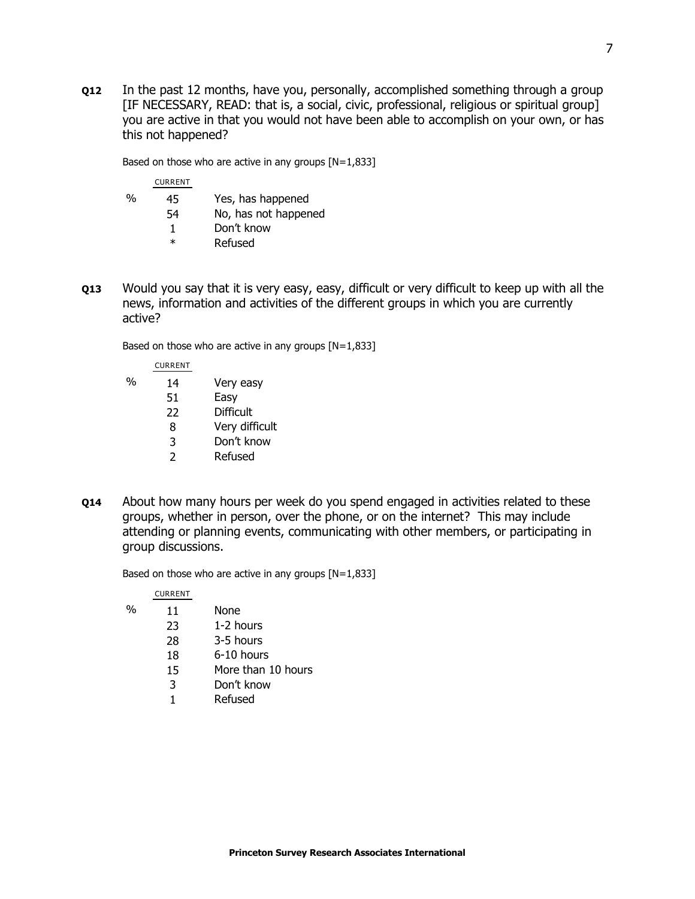**Q12** In the past 12 months, have you, personally, accomplished something through a group [IF NECESSARY, READ: that is, a social, civic, professional, religious or spiritual group] you are active in that you would not have been able to accomplish on your own, or has this not happened?

Based on those who are active in any groups [N=1,833]

CURRENT

| %<br>45 |  | Yes, has happened |
|---------|--|-------------------|
|---------|--|-------------------|

- 54 No, has not happened
	- 1 Don't know
	- \* Refused
- **Q13** Would you say that it is very easy, easy, difficult or very difficult to keep up with all the news, information and activities of the different groups in which you are currently active?

Based on those who are active in any groups [N=1,833]

|   | <b>CURRENT</b> |                |
|---|----------------|----------------|
| % | 14             | Very easy      |
|   | 51             | Easy           |
|   | 22             | Difficult      |
|   | 8              | Very difficult |
|   | 3              | Don't know     |
|   | っ              | Refused        |

**Q14** About how many hours per week do you spend engaged in activities related to these groups, whether in person, over the phone, or on the internet? This may include attending or planning events, communicating with other members, or participating in group discussions.

Based on those who are active in any groups [N=1,833]

|   | <b>CURRENT</b> |                    |
|---|----------------|--------------------|
| ℆ | 11             | None               |
|   | 23             | 1-2 hours          |
|   | 28             | 3-5 hours          |
|   | 18             | 6-10 hours         |
|   | 15             | More than 10 hours |
|   | 3              | Don't know         |
|   |                | Refused            |
|   |                |                    |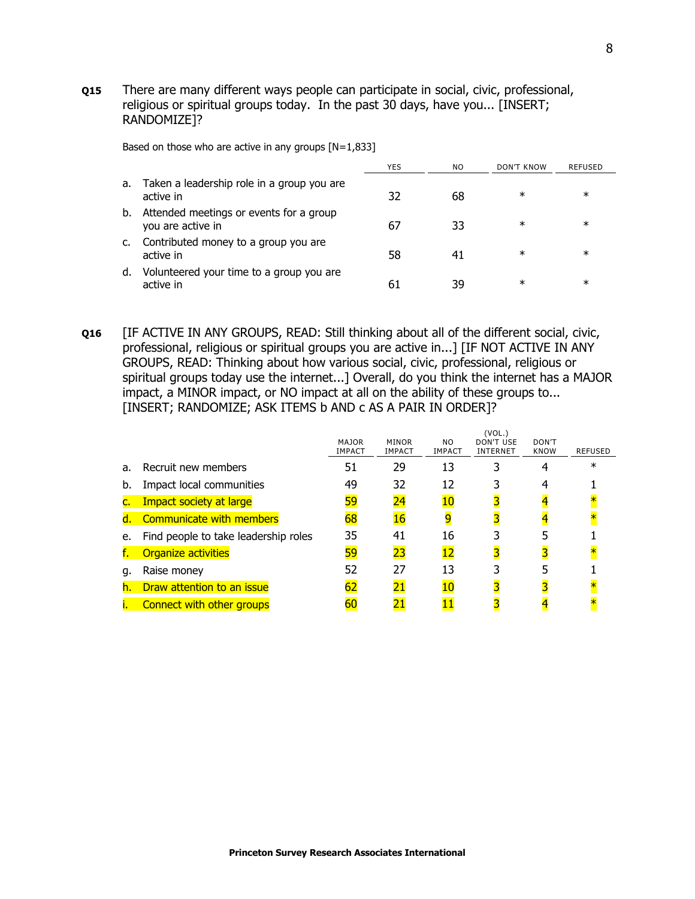**Q15** There are many different ways people can participate in social, civic, professional, religious or spiritual groups today. In the past 30 days, have you... [INSERT; RANDOMIZE]?

Based on those who are active in any groups  $[N=1,833]$ 

|    |                                                              | <b>YES</b> | NO. | DON'T KNOW | <b>REFUSED</b> |
|----|--------------------------------------------------------------|------------|-----|------------|----------------|
| а. | Taken a leadership role in a group you are<br>active in      | 32         | 68  | $\ast$     | ∗              |
| b. | Attended meetings or events for a group<br>you are active in | 67         | 33  | $\ast$     | $\ast$         |
|    | Contributed money to a group you are<br>active in            | 58         | 41  | $\ast$     | $\ast$         |
| d. | Volunteered your time to a group you are<br>active in        | 61         | 39  | $\ast$     | $\ast$         |

**Q16** [IF ACTIVE IN ANY GROUPS, READ: Still thinking about all of the different social, civic, professional, religious or spiritual groups you are active in...] [IF NOT ACTIVE IN ANY GROUPS, READ: Thinking about how various social, civic, professional, religious or spiritual groups today use the internet...] Overall, do you think the internet has a MAJOR impact, a MINOR impact, or NO impact at all on the ability of these groups to... [INSERT; RANDOMIZE; ASK ITEMS b AND c AS A PAIR IN ORDER]?

|    |                                      | <b>MAJOR</b><br><b>IMPACT</b> | <b>MINOR</b><br><b>IMPACT</b> | NO.<br><b>IMPACT</b> | VUL.)<br>DON'T USE<br><b>INTERNET</b> | DON'T<br><b>KNOW</b> | <b>REFUSED</b> |
|----|--------------------------------------|-------------------------------|-------------------------------|----------------------|---------------------------------------|----------------------|----------------|
| a. | Recruit new members                  | 51                            | 29                            | 13                   |                                       |                      | ж              |
| b. | Impact local communities             | 49                            | 32                            | 12                   |                                       |                      |                |
|    | Impact society at large              | 59                            | 24                            | 10                   |                                       |                      |                |
| d. | Communicate with members             | 68                            | 16                            |                      |                                       |                      |                |
| e. | Find people to take leadership roles | 35                            | 41                            | 16                   |                                       |                      |                |
|    | <b>Organize activities</b>           | 59                            | 23                            | 12                   | 3                                     |                      |                |
| g. | Raise money                          | 52                            | 27                            | 13                   |                                       |                      |                |
| h. | Draw attention to an issue           | 62                            |                               | 10                   |                                       |                      |                |
|    | Connect with other groups            | 60                            |                               |                      |                                       |                      |                |

 $(10)$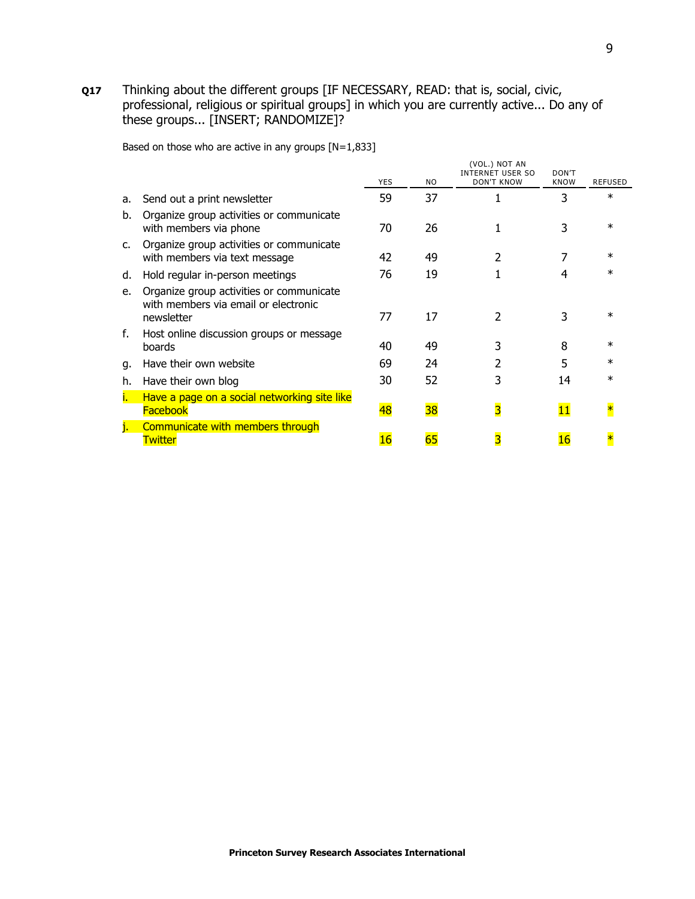**Q17** Thinking about the different groups [IF NECESSARY, READ: that is, social, civic, professional, religious or spiritual groups] in which you are currently active... Do any of these groups... [INSERT; RANDOMIZE]?

Based on those who are active in any groups [N=1,833]

|    |                                                                                                | <b>YES</b> | N <sub>O</sub> | (VOL.) NOT AN<br><b>INTERNET USER SO</b><br><b>DON'T KNOW</b> | DON'T<br><b>KNOW</b> | <b>REFUSED</b> |
|----|------------------------------------------------------------------------------------------------|------------|----------------|---------------------------------------------------------------|----------------------|----------------|
| a. | Send out a print newsletter                                                                    | 59         | 37             |                                                               | 3                    | $\ast$         |
| b. | Organize group activities or communicate<br>with members via phone                             | 70         | 26             |                                                               | 3                    | $\ast$         |
| c. | Organize group activities or communicate<br>with members via text message                      | 42         | 49             | 2                                                             |                      | $\ast$         |
| d. | Hold regular in-person meetings                                                                | 76         | 19             |                                                               | 4                    | $^\star$       |
| e. | Organize group activities or communicate<br>with members via email or electronic<br>newsletter | 77         | 17             | C                                                             |                      | $\ast$         |
| f. | Host online discussion groups or message<br>boards                                             | 40         | 49             | 3                                                             | 8                    | $^\ast$        |
| q. | Have their own website                                                                         | 69         | 24             |                                                               | 5                    | $\ast$         |
| h. | Have their own blog                                                                            | 30         | 52             |                                                               | 14                   | $\ast$         |
|    | Have a page on a social networking site like<br><b>Facebook</b>                                | 48         | 38             | 3                                                             | 11                   |                |
|    | Communicate with members through<br><u>Twitter</u>                                             | 16         |                |                                                               | 16                   |                |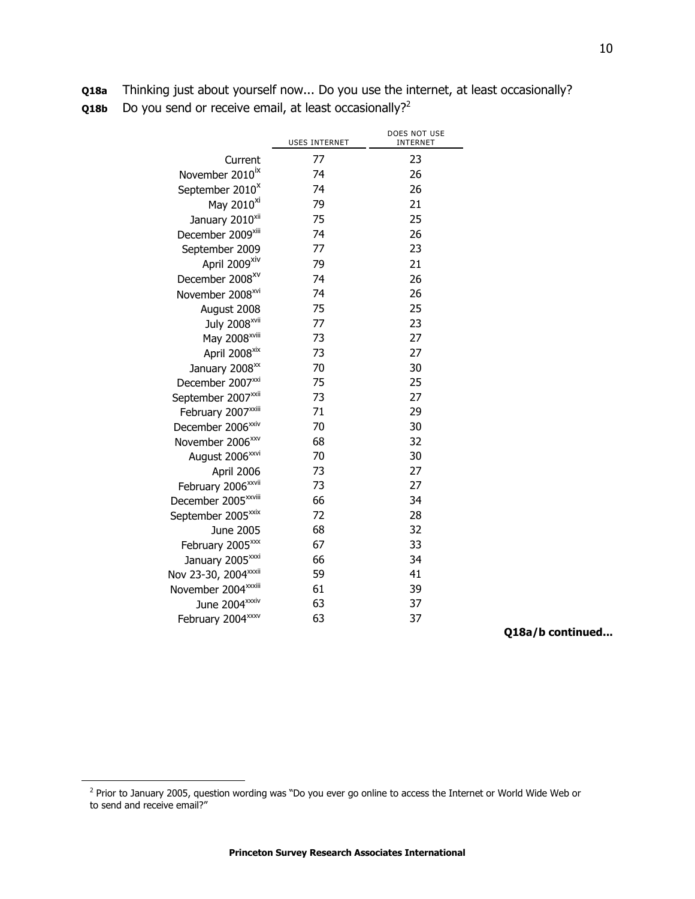| <b>Q18a</b> Thinking just about yourself now Do you use the internet, at least occasionally? |
|----------------------------------------------------------------------------------------------|
| <b>Q18b</b> Do you send or receive email, at least occasionally? <sup>2</sup>                |

|                                  | <b>USES INTERNET</b> | DOES NOT USE<br><b>INTERNET</b> |
|----------------------------------|----------------------|---------------------------------|
| Current                          | 77                   | 23                              |
| November 2010 <sup>ix</sup>      | 74                   | 26                              |
| September 2010 <sup>x</sup>      | 74                   | 26                              |
| May 2010 <sup>xi</sup>           | 79                   | 21                              |
| January 2010 <sup>xii</sup>      | 75                   | 25                              |
| December 2009xiii                | 74                   | 26                              |
| September 2009                   | 77                   | 23                              |
| April 2009 <sup>xiv</sup>        | 79                   | 21                              |
| December 2008 <sup>xv</sup>      | 74                   | 26                              |
| November 2008 <sup>xvi</sup>     | 74                   | 26                              |
| August 2008                      | 75                   | 25                              |
| July 2008 <sup>xvii</sup>        | 77                   | 23                              |
| May 2008 <sup>xviii</sup>        | 73                   | 27                              |
| April 2008 <sup>xix</sup>        | 73                   | 27                              |
| January 2008 <sup>xx</sup>       | 70                   | 30                              |
| December 2007 <sup>xxi</sup>     | 75                   | 25                              |
| September 2007 <sup>xxii</sup>   | 73                   | 27                              |
| February 2007 <sup>xxiii</sup>   | 71                   | 29                              |
| December 2006 <sup>xxiv</sup>    | 70                   | 30                              |
| November 2006 <sup>xxv</sup>     | 68                   | 32                              |
| August 2006 <sup>xxvi</sup>      | 70                   | 30                              |
| April 2006                       | 73                   | 27                              |
| February 2006 <sup>xxvii</sup>   | 73                   | 27                              |
| December 2005 <sup>xxviii</sup>  | 66                   | 34                              |
| September 2005 <sup>xxix</sup>   | 72                   | 28                              |
| <b>June 2005</b>                 | 68                   | 32                              |
| February 2005 <sup>xxx</sup>     | 67                   | 33                              |
| January 2005 <sup>xxxi</sup>     | 66                   | 34                              |
| Nov 23-30, 2004 <sup>xxxii</sup> | 59                   | 41                              |
| November 2004 <sup>xxxiii</sup>  | 61                   | 39                              |
| June 2004 <sup>xxxiv</sup>       | 63                   | 37                              |
| February 2004 <sup>xxxv</sup>    | 63                   | 37                              |

**Q18a/b continued...**

 $\overline{a}$ 

<sup>&</sup>lt;sup>2</sup> Prior to January 2005, question wording was "Do you ever go online to access the Internet or World Wide Web or to send and receive email?"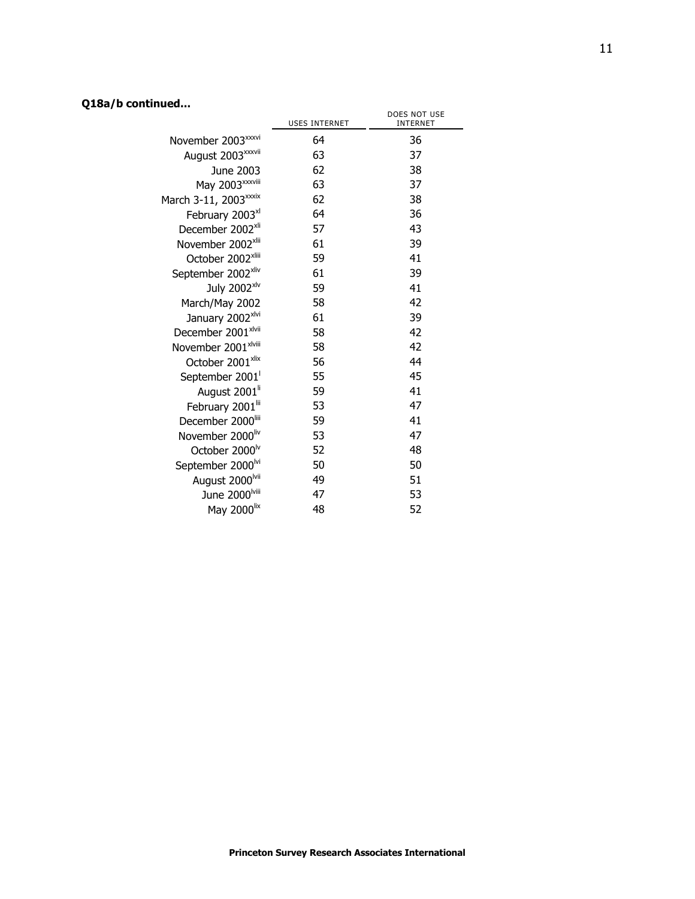# **Q18a/b continued...**

|                                   | <b>USES INTERNET</b> | DOES NOT USE<br><b>INTERNET</b> |
|-----------------------------------|----------------------|---------------------------------|
| November 2003 <sup>xxxvi</sup>    | 64                   | 36                              |
| August 2003 <sup>xxxvii</sup>     | 63                   | 37                              |
| June 2003                         | 62                   | 38                              |
| May 2003 <sup>xxxviii</sup>       | 63                   | 37                              |
| March 3-11, 2003 <sup>xxxix</sup> | 62                   | 38                              |
| February 2003 <sup>xl</sup>       | 64                   | 36                              |
| December 2002 <sup>xli</sup>      | 57                   | 43                              |
| November 2002 <sup>xlii</sup>     | 61                   | 39                              |
| October 2002 <sup>xliii</sup>     | 59                   | 41                              |
| September 2002 <sup>xliv</sup>    | 61                   | 39                              |
| July 2002 <sup>xlv</sup>          | 59                   | 41                              |
| March/May 2002                    | 58                   | 42                              |
| January 2002 <sup>xlvi</sup>      | 61                   | 39                              |
| December 2001 <sup>xlvii</sup>    | 58                   | 42                              |
| November 2001 <sup>xlviii</sup>   | 58                   | 42                              |
| October 2001 <sup>xlix</sup>      | 56                   | 44                              |
| September 2001                    | 55                   | 45                              |
| August 2001 <sup>ii</sup>         | 59                   | 41                              |
| February 2001 <sup>lii</sup>      | 53                   | 47                              |
| December 2000                     | 59                   | 41                              |
| November 2000liv                  | 53                   | 47                              |
| October 2000 <sup>lv</sup>        | 52                   | 48                              |
| September 2000 <sup>lvi</sup>     | 50                   | 50                              |
| August 2000 <sup>lvii</sup>       | 49                   | 51                              |
| June 2000 <sup>lviii</sup>        | 47                   | 53                              |
| May 2000lix                       | 48                   | 52                              |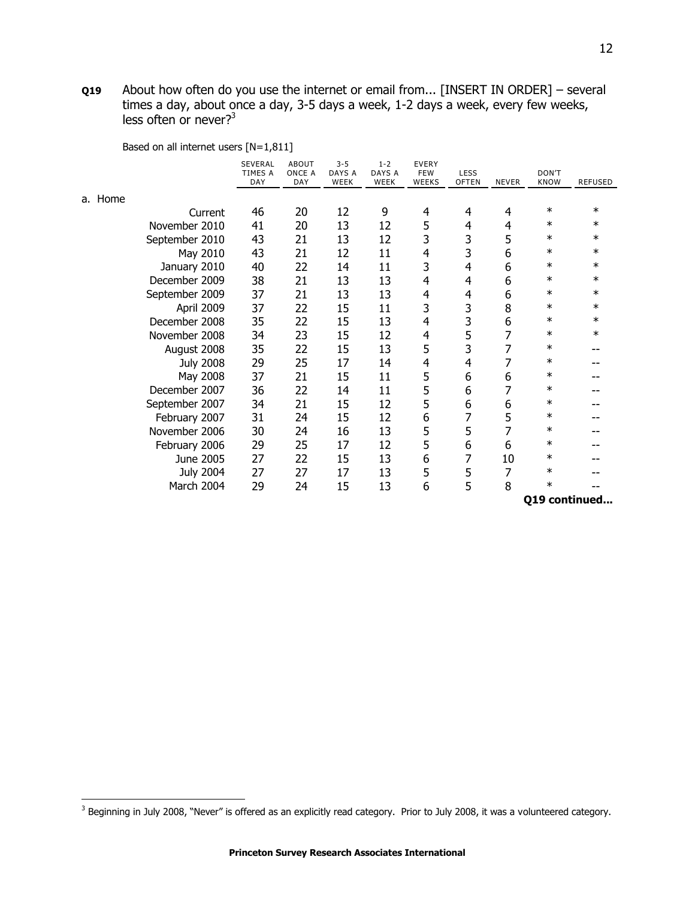**Q19** About how often do you use the internet or email from... [INSERT IN ORDER] – several times a day, about once a day, 3-5 days a week, 1-2 days a week, every few weeks, less often or never?<sup>3</sup>

Based on all internet users [N=1,811]

|                  | <b>SEVERAL</b><br>TIMES A<br>DAY | <b>ABOUT</b><br>ONCE A<br>DAY | $3 - 5$<br>DAYS A<br>WEEK | $1 - 2$<br>DAYS A<br>WEEK | <b>EVERY</b><br><b>FEW</b><br><b>WEEKS</b> | LESS<br><b>OFTEN</b> | <b>NEVER</b> | DON'T<br><b>KNOW</b> | <b>REFUSED</b> |
|------------------|----------------------------------|-------------------------------|---------------------------|---------------------------|--------------------------------------------|----------------------|--------------|----------------------|----------------|
| a. Home          |                                  |                               |                           |                           |                                            |                      |              |                      |                |
| Current          | 46                               | 20                            | 12                        | 9                         | 4                                          | 4                    | 4            | $\ast$               | $\ast$         |
| November 2010    | 41                               | 20                            | 13                        | 12                        | 5                                          | 4                    | 4            | $\ast$               | ∗              |
| September 2010   | 43                               | 21                            | 13                        | 12                        | 3                                          | 3                    | 5            | $\ast$               | $\ast$         |
| May 2010         | 43                               | 21                            | 12                        | 11                        | 4                                          | 3                    | 6            | $\ast$               | $\ast$         |
| January 2010     | 40                               | 22                            | 14                        | 11                        | 3                                          | 4                    | 6            | $\ast$               | $\ast$         |
| December 2009    | 38                               | 21                            | 13                        | 13                        | $\overline{4}$                             | 4                    | 6            | $\ast$               | ∗              |
| September 2009   | 37                               | 21                            | 13                        | 13                        | 4                                          | 4                    | 6            | $\ast$               | $\ast$         |
| April 2009       | 37                               | 22                            | 15                        | 11                        | 3                                          | 3                    | 8            | $\ast$               | $\ast$         |
| December 2008    | 35                               | 22                            | 15                        | 13                        | $\overline{4}$                             | 3                    | 6            | $\ast$               | $\ast$         |
| November 2008    | 34                               | 23                            | 15                        | 12                        | 4                                          | 5                    |              | $\ast$               | $\ast$         |
| August 2008      | 35                               | 22                            | 15                        | 13                        | 5                                          | 3                    | 7            | $\ast$               |                |
| <b>July 2008</b> | 29                               | 25                            | 17                        | 14                        | 4                                          | 4                    | 7            | $\ast$               |                |
| May 2008         | 37                               | 21                            | 15                        | 11                        | 5                                          | 6                    | 6            | $\ast$               |                |
| December 2007    | 36                               | 22                            | 14                        | 11                        | 5                                          | 6                    | 7            | $\ast$               |                |
| September 2007   | 34                               | 21                            | 15                        | 12                        | 5                                          | 6                    | 6            | $\ast$               |                |
| February 2007    | 31                               | 24                            | 15                        | 12                        | 6                                          | 7                    | 5            | $\ast$               |                |
| November 2006    | 30                               | 24                            | 16                        | 13                        | 5                                          | 5                    | 7            | ∗                    |                |
| February 2006    | 29                               | 25                            | 17                        | 12                        | 5                                          | 6                    | 6            | $\ast$               |                |
| June 2005        | 27                               | 22                            | 15                        | 13                        | 6                                          | 7                    | 10           | $\ast$               |                |
| <b>July 2004</b> | 27                               | 27                            | 17                        | 13                        | 5                                          | 5                    | 7            | $\ast$               |                |
| March 2004       | 29                               | 24                            | 15                        | 13                        | 6                                          | 5                    | 8            | $\ast$               |                |

**Q19 continued...**

 3 Beginning in July 2008, ―Never‖ is offered as an explicitly read category. Prior to July 2008, it was a volunteered category.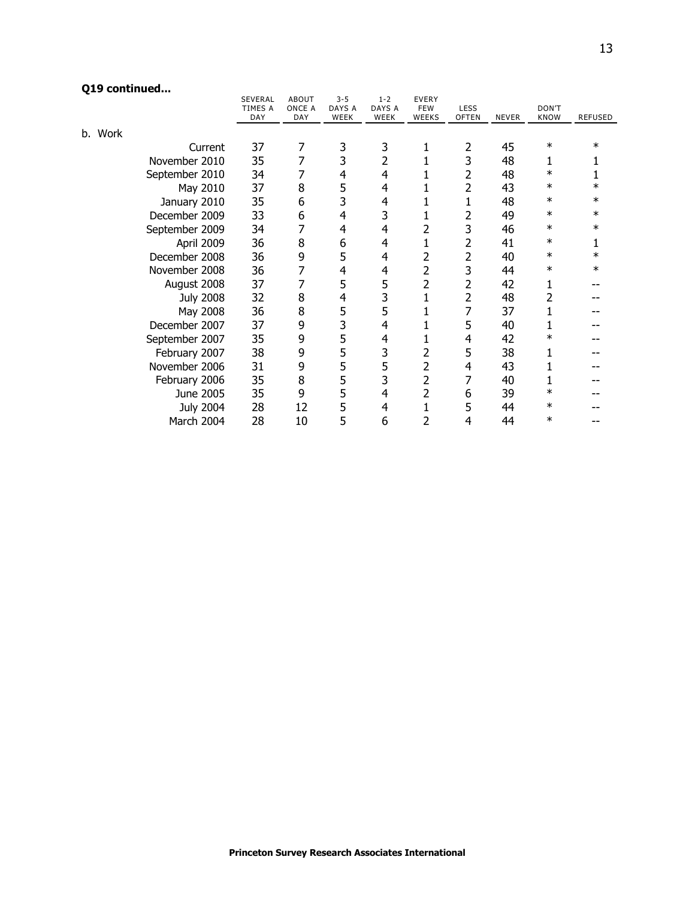# **Q19 continued...**

| concuracan       | SEVERAL        | <b>ABOUT</b>  | $3 - 5$        | $1 - 2$        | <b>EVERY</b>               |                      |              |                      |                |
|------------------|----------------|---------------|----------------|----------------|----------------------------|----------------------|--------------|----------------------|----------------|
|                  | TIMES A<br>DAY | ONCE A<br>DAY | DAYS A<br>WEEK | DAYS A<br>WEEK | <b>FEW</b><br><b>WEEKS</b> | LESS<br><b>OFTEN</b> | <b>NEVER</b> | DON'T<br><b>KNOW</b> | <b>REFUSED</b> |
| b. Work          |                |               |                |                |                            |                      |              |                      |                |
| Current          | 37             | 7             | 3              | 3              | 1                          | 2                    | 45           | ∗                    | $\ast$         |
| November 2010    | 35             | 7             | 3              | 2              |                            | 3                    | 48           | 1                    |                |
| September 2010   | 34             |               | 4              | 4              |                            | 2                    | 48           | $\ast$               |                |
| May 2010         | 37             | 8             | 5              | 4              |                            | 2                    | 43           | $\ast$               | $\ast$         |
| January 2010     | 35             | 6             | 3              | 4              |                            | 1                    | 48           | $\ast$               | $\ast$         |
| December 2009    | 33             | 6             | 4              | 3              |                            | 2                    | 49           | $\ast$               | $\ast$         |
| September 2009   | 34             | 7             | 4              | 4              | 2                          | 3                    | 46           | $\ast$               | $\ast$         |
| April 2009       | 36             | 8             | 6              | 4              | 1                          | 2                    | 41           | $\ast$               |                |
| December 2008    | 36             | 9             | 5              | 4              | 2                          | 2                    | 40           | $\ast$               | $\ast$         |
| November 2008    | 36             | 7             | 4              | 4              | $\overline{2}$             | 3                    | 44           | $\ast$               | $\ast$         |
| August 2008      | 37             | 7             | 5              | 5              | 2                          | 2                    | 42           |                      |                |
| <b>July 2008</b> | 32             | 8             | 4              | 3              | $\mathbf{1}$               | 2                    | 48           | 2                    |                |
| May 2008         | 36             | 8             | 5              | 5              | 1                          | 7                    | 37           |                      |                |
| December 2007    | 37             | 9             | 3              | 4              |                            | 5                    | 40           |                      |                |
| September 2007   | 35             | 9             | 5              | 4              | 1                          | 4                    | 42           | $\ast$               |                |
| February 2007    | 38             | 9             | 5              | 3              | 2                          | 5                    | 38           |                      |                |
| November 2006    | 31             | 9             | 5              | 5              | 2                          | 4                    | 43           |                      |                |
| February 2006    | 35             | 8             | 5              | 3              | 2                          | 7                    | 40           |                      |                |
| June 2005        | 35             | 9             | 5              | 4              | $\overline{2}$             | 6                    | 39           | $\ast$               |                |
| <b>July 2004</b> | 28             | 12            | 5              | 4              |                            | 5                    | 44           | $\ast$               |                |
| March 2004       | 28             | 10            | 5              | 6              | 2                          | 4                    | 44           | $\ast$               |                |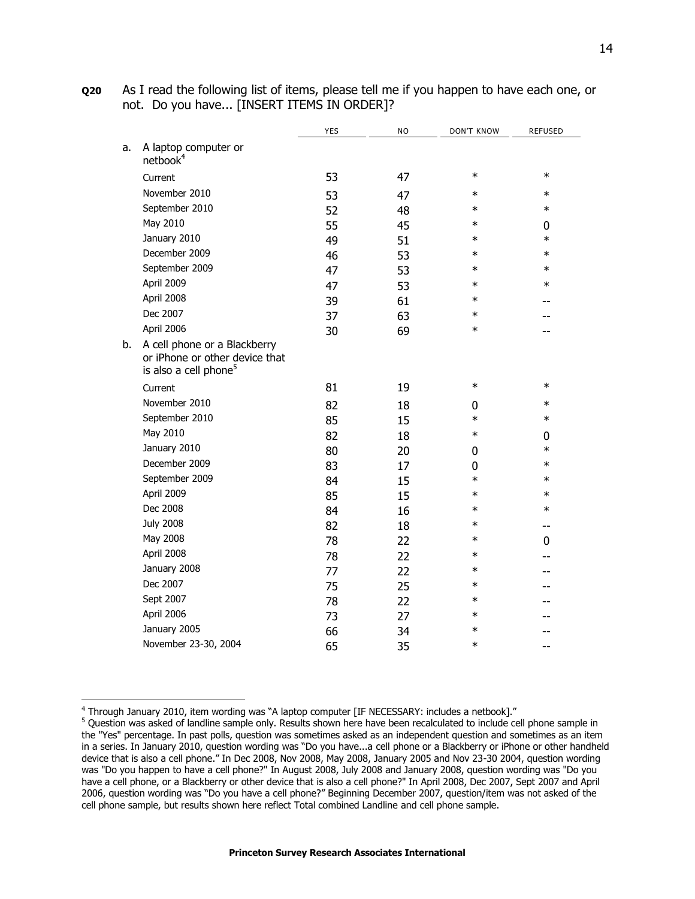|    |                                                                                                     | <b>YES</b> | <b>NO</b> | <b>DON'T KNOW</b> | <b>REFUSED</b> |
|----|-----------------------------------------------------------------------------------------------------|------------|-----------|-------------------|----------------|
| a. | A laptop computer or<br>netbook <sup>4</sup>                                                        |            |           |                   |                |
|    | Current                                                                                             | 53         | 47        | $\ast$            | $\ast$         |
|    | November 2010                                                                                       | 53         | 47        | $\ast$            | $\ast$         |
|    | September 2010                                                                                      | 52         | 48        | $\ast$            | $\ast$         |
|    | May 2010                                                                                            | 55         | 45        | $\ast$            | 0              |
|    | January 2010                                                                                        | 49         | 51        | $\ast$            | $\ast$         |
|    | December 2009                                                                                       | 46         | 53        | $\ast$            | $\ast$         |
|    | September 2009                                                                                      | 47         | 53        | $\ast$            | $\ast$         |
|    | April 2009                                                                                          | 47         | 53        | $\ast$            | $\ast$         |
|    | April 2008                                                                                          | 39         | 61        | $\ast$            |                |
|    | Dec 2007                                                                                            | 37         | 63        | $\ast$            |                |
|    | April 2006                                                                                          | 30         | 69        | $\ast$            |                |
| b. | A cell phone or a Blackberry<br>or iPhone or other device that<br>is also a cell phone <sup>5</sup> |            |           |                   |                |
|    | Current                                                                                             | 81         | 19        | $\ast$            | $\ast$         |
|    | November 2010                                                                                       | 82         | 18        | 0                 | $\ast$         |
|    | September 2010                                                                                      | 85         | 15        | $\ast$            | $\ast$         |
|    | May 2010                                                                                            | 82         | 18        | $\ast$            | 0              |
|    | January 2010                                                                                        | 80         | 20        | 0                 | $\ast$         |
|    | December 2009                                                                                       | 83         | 17        | 0                 | $\ast$         |
|    | September 2009                                                                                      | 84         | 15        | $\ast$            | $\ast$         |
|    | April 2009                                                                                          | 85         | 15        | $\ast$            | $\ast$         |
|    | Dec 2008                                                                                            | 84         | 16        | $\ast$            | $\ast$         |

**Q20** As I read the following list of items, please tell me if you happen to have each one, or not. Do you have... [INSERT ITEMS IN ORDER]?

j

July 2008 82 18 \* -- May 2008 28 22  $*$  0 April 2008 22  $\rightarrow$  22  $\rightarrow$  22  $\rightarrow$ January 2008 77 22 \* -- Dec 2007 **75** 25  $*$  --Sept 2007 78 22 \* -- April 2006 27 3 27  $\rightarrow$  27  $\rightarrow$  5  $\rightarrow$ January 2005 66 34 \* -- November 23-30, 2004 65 35 \* --

 $^4$  Through January 2010, item wording was "A laptop computer [IF NECESSARY: includes a netbook]."

<sup>&</sup>lt;sup>5</sup> Question was asked of landline sample only. Results shown here have been recalculated to include cell phone sample in the "Yes" percentage. In past polls, question was sometimes asked as an independent question and sometimes as an item in a series. In January 2010, question wording was "Do you have...a cell phone or a Blackberry or iPhone or other handheld device that is also a cell phone." In Dec 2008, Nov 2008, May 2008, January 2005 and Nov 23-30 2004, question wording was "Do you happen to have a cell phone?" In August 2008, July 2008 and January 2008, question wording was "Do you have a cell phone, or a Blackberry or other device that is also a cell phone?" In April 2008, Dec 2007, Sept 2007 and April 2006, question wording was "Do you have a cell phone?" Beginning December 2007, question/item was not asked of the cell phone sample, but results shown here reflect Total combined Landline and cell phone sample.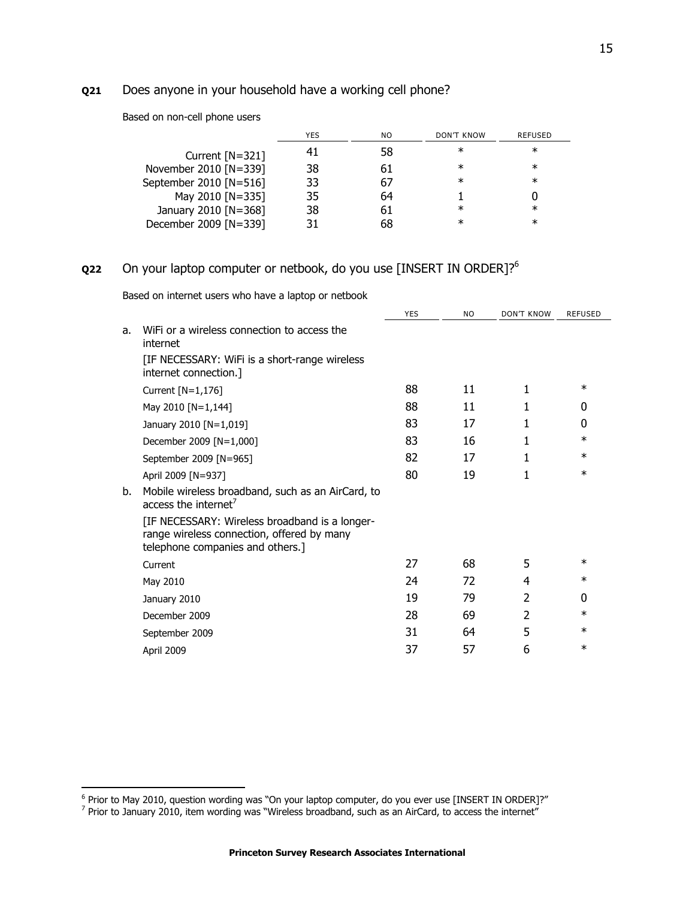# **Q21** Does anyone in your household have a working cell phone?

| Based on non-cell phone users |  |
|-------------------------------|--|
|-------------------------------|--|

|                        | <b>YES</b> | NO. | <b>DON'T KNOW</b> | <b>REFUSED</b> |
|------------------------|------------|-----|-------------------|----------------|
| Current $[N=321]$      | 41         | 58  | $\ast$            | ∗              |
| November 2010 [N=339]  | 38         | 61  | $\ast$            | ∗              |
| September 2010 [N=516] | 33         | 67  | $\ast$            | $\ast$         |
| May 2010 [N=335]       | 35         | 64  |                   |                |
| January 2010 [N=368]   | 38         | 61  | $\ast$            | $\ast$         |
| December 2009 [N=339]  | 31         | 68  | $^\ast$           | ∗              |

## **Q22** On your laptop computer or netbook, do you use [INSERT IN ORDER]?<sup>6</sup>

Based on internet users who have a laptop or netbook

|    |                                                                                                                                  | <b>YES</b> | <b>NO</b> | <b>DON'T KNOW</b> | <b>REFUSED</b> |
|----|----------------------------------------------------------------------------------------------------------------------------------|------------|-----------|-------------------|----------------|
| a. | WiFi or a wireless connection to access the<br>internet                                                                          |            |           |                   |                |
|    | [IF NECESSARY: WiFi is a short-range wireless<br>internet connection.]                                                           |            |           |                   |                |
|    | Current $[N=1,176]$                                                                                                              | 88         | 11        | 1                 | $\ast$         |
|    | May 2010 [N=1,144]                                                                                                               | 88         | 11        |                   | 0              |
|    | January 2010 [N=1,019]                                                                                                           | 83         | 17        | 1                 | 0              |
|    | December 2009 [N=1,000]                                                                                                          | 83         | 16        | 1                 | $\ast$         |
|    | September 2009 [N=965]                                                                                                           | 82         | 17        |                   | $\ast$         |
|    | April 2009 [N=937]                                                                                                               | 80         | 19        | 1                 | $\ast$         |
| b. | Mobile wireless broadband, such as an AirCard, to<br>access the internet <sup>7</sup>                                            |            |           |                   |                |
|    | [IF NECESSARY: Wireless broadband is a longer-<br>range wireless connection, offered by many<br>telephone companies and others.] |            |           |                   |                |
|    | Current                                                                                                                          | 27         | 68        | 5                 | $\ast$         |
|    | May 2010                                                                                                                         | 24         | 72        | 4                 | $\ast$         |
|    | January 2010                                                                                                                     | 19         | 79        | $\overline{2}$    | 0              |
|    | December 2009                                                                                                                    | 28         | 69        | 2                 | $\ast$         |
|    | September 2009                                                                                                                   | 31         | 64        | 5                 | $\ast$         |
|    | April 2009                                                                                                                       | 37         | 57        | 6                 | $\ast$         |

e<br>Frior to May 2010, question wording was "On your laptop computer, do you ever use [INSERT IN ORDER]?"<br><sup>7</sup> Prior to January 2010, item wording was "Wireless broadband, such as an AirCard, to access the internet"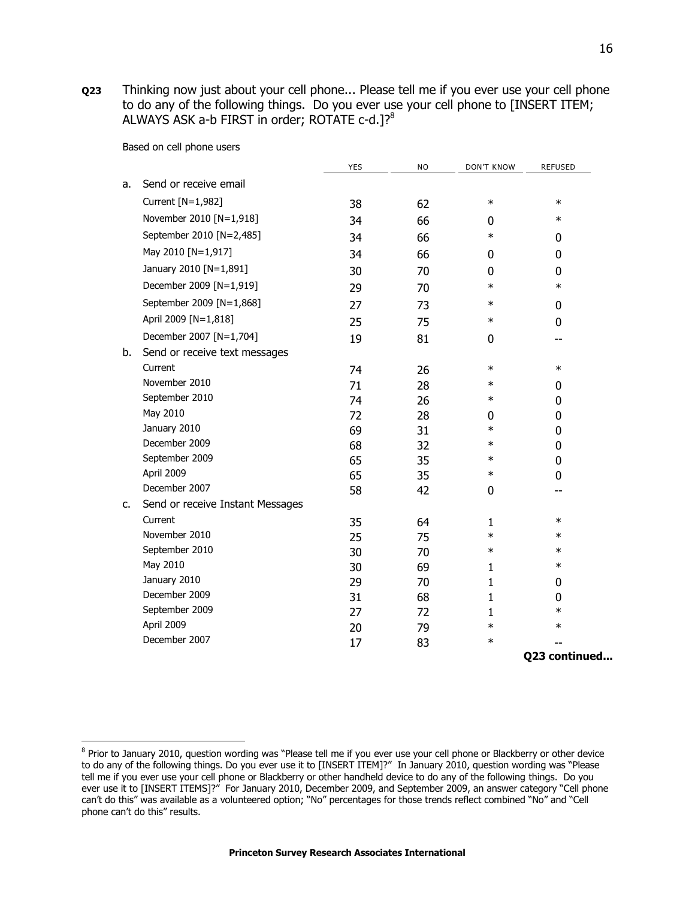**Q23** Thinking now just about your cell phone... Please tell me if you ever use your cell phone to do any of the following things. Do you ever use your cell phone to [INSERT ITEM; ALWAYS ASK a-b FIRST in order; ROTATE c-d.]?<sup>8</sup>

Based on cell phone users

j

|    |                                  | <b>YES</b> | <b>NO</b> | <b>DON'T KNOW</b> | REFUSED       |
|----|----------------------------------|------------|-----------|-------------------|---------------|
| a. | Send or receive email            |            |           |                   |               |
|    | Current [N=1,982]                | 38         | 62        | $\ast$            | $\ast$        |
|    | November 2010 [N=1,918]          | 34         | 66        | 0                 | $\ast$        |
|    | September 2010 [N=2,485]         | 34         | 66        | $\ast$            | 0             |
|    | May 2010 [N=1,917]               | 34         | 66        | 0                 | 0             |
|    | January 2010 [N=1,891]           | 30         | 70        | 0                 | 0             |
|    | December 2009 [N=1,919]          | 29         | 70        | $\ast$            | $\ast$        |
|    | September 2009 [N=1,868]         | 27         | 73        | $\ast$            | 0             |
|    | April 2009 [N=1,818]             | 25         | 75        | $\ast$            | 0             |
|    | December 2007 [N=1,704]          | 19         | 81        | 0                 | --            |
| b. | Send or receive text messages    |            |           |                   |               |
|    | Current                          | 74         | 26        | $\ast$            | $\ast$        |
|    | November 2010                    | 71         | 28        | $\ast$            | 0             |
|    | September 2010                   | 74         | 26        | $\ast$            | 0             |
|    | May 2010                         | 72         | 28        | 0                 | 0             |
|    | January 2010                     | 69         | 31        | $\ast$            | 0             |
|    | December 2009                    | 68         | 32        | $\ast$            | 0             |
|    | September 2009                   | 65         | 35        | $\ast$            | 0             |
|    | April 2009                       | 65         | 35        | $\ast$            | 0             |
|    | December 2007                    | 58         | 42        | 0                 |               |
| c. | Send or receive Instant Messages |            |           |                   |               |
|    | Current                          | 35         | 64        | $\mathbf{1}$      | $\ast$        |
|    | November 2010                    | 25         | 75        | $\ast$            | $\ast$        |
|    | September 2010                   | 30         | 70        | $\ast$            | $\ast$        |
|    | May 2010                         | 30         | 69        | $\mathbf{1}$      | $\ast$        |
|    | January 2010                     | 29         | 70        | 1                 | 0             |
|    | December 2009                    | 31         | 68        | $\mathbf{1}$      | 0             |
|    | September 2009                   | 27         | 72        | 1                 | $\ast$        |
|    | April 2009                       | 20         | 79        | $\ast$            | $\ast$        |
|    | December 2007                    | 17         | 83        | $\ast$            |               |
|    |                                  |            |           |                   | Q23 continued |

<sup>&</sup>lt;sup>8</sup> Prior to January 2010, question wording was "Please tell me if you ever use your cell phone or Blackberry or other device to do any of the following things. Do you ever use it to [INSERT ITEM]?" In January 2010, question wording was "Please tell me if you ever use your cell phone or Blackberry or other handheld device to do any of the following things. Do you ever use it to [INSERT ITEMS]?" For January 2010, December 2009, and September 2009, an answer category "Cell phone can't do this" was available as a volunteered option; "No" percentages for those trends reflect combined "No" and "Cell phone can't do this" results.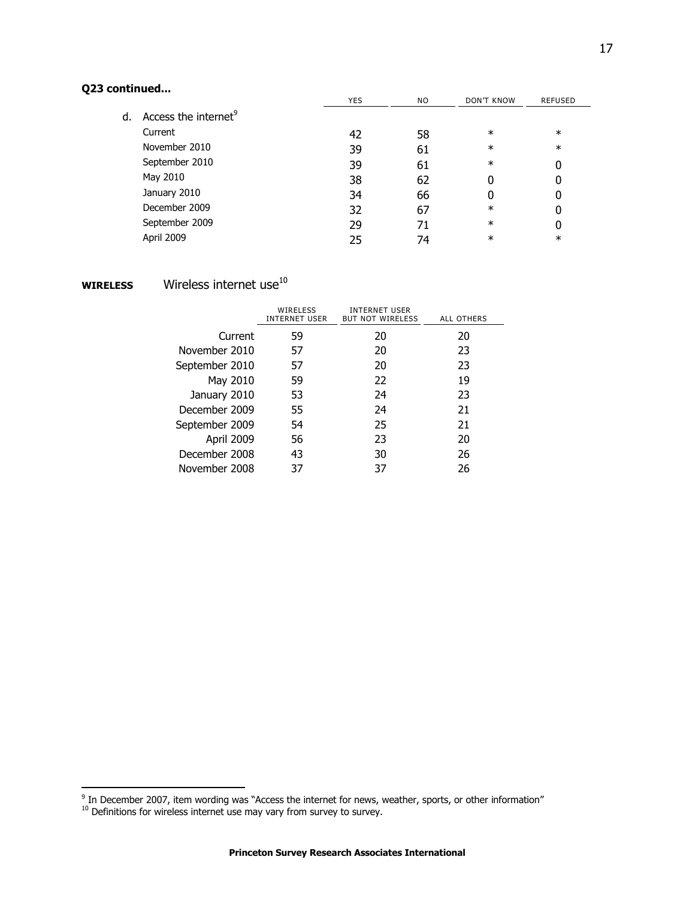# **Q23 continued...**

|    |                                  | <b>YES</b> | NO. | <b>DON'T KNOW</b> | <b>REFUSED</b> |
|----|----------------------------------|------------|-----|-------------------|----------------|
| d. | Access the internet <sup>9</sup> |            |     |                   |                |
|    | Current                          | 42         | 58  | $\ast$            | $\ast$         |
|    | November 2010                    | 39         | 61  | $\ast$            | $\ast$         |
|    | September 2010                   | 39         | 61  | $\ast$            | 0              |
|    | May 2010                         | 38         | 62  |                   | 0              |
|    | January 2010                     | 34         | 66  |                   | 0              |
|    | December 2009                    | 32         | 67  | $\ast$            | 0              |
|    | September 2009                   | 29         | 71  | $\ast$            | 0              |
|    | April 2009                       | 25         | 74  | ∗                 | $\ast$         |

# **WIRELESS** Wireless internet use<sup>10</sup>

|                | WIRELESS<br>INTERNET USER | INTERNET USER<br><b>BUT NOT WIRELESS</b> | ALL OTHERS |
|----------------|---------------------------|------------------------------------------|------------|
| Current        | 59                        | 20                                       | 20         |
| November 2010  | 57                        | 20                                       | 23         |
| September 2010 | 57                        | 20                                       | 23         |
| May 2010       | 59                        | 22                                       | 19         |
| January 2010   | 53                        | 24                                       | 23         |
| December 2009  | 55                        | 24                                       | 21         |
| September 2009 | 54                        | 25                                       | 21         |
| April 2009     | 56                        | 23                                       | 20         |
| December 2008  | 43                        | 30                                       | 26         |
| November 2008  | 37                        | 37                                       | 26         |

 $\frac{9}{2}$  In December 2007, item wording was "Access the internet for news, weather, sports, or other information"

 $10$  Definitions for wireless internet use may vary from survey to survey.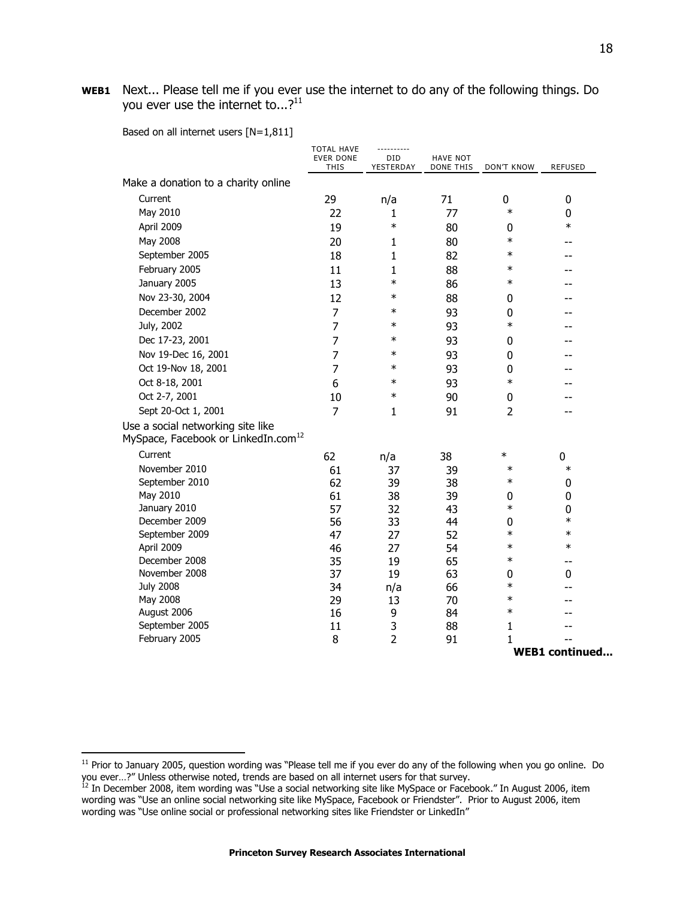**WEB1** Next... Please tell me if you ever use the internet to do any of the following things. Do you ever use the internet to...? $^{11}$ 

|  |  | Based on all internet users $[N=1,811]$ |  |  |  |
|--|--|-----------------------------------------|--|--|--|
|--|--|-----------------------------------------|--|--|--|

 $\overline{a}$ 

|                                                                                      | <b>TOTAL HAVE</b><br><b>EVER DONE</b><br><b>THIS</b> | DID<br>YESTERDAY | <b>HAVE NOT</b><br><b>DONE THIS</b> | <b>DON'T KNOW</b> | <b>REFUSED</b>        |
|--------------------------------------------------------------------------------------|------------------------------------------------------|------------------|-------------------------------------|-------------------|-----------------------|
| Make a donation to a charity online                                                  |                                                      |                  |                                     |                   |                       |
| Current                                                                              | 29                                                   | n/a              | 71                                  | 0                 | 0                     |
| May 2010                                                                             | 22                                                   | 1                | 77                                  | $\ast$            | $\mathbf 0$           |
| April 2009                                                                           | 19                                                   | $\ast$           | 80                                  | 0                 | $\ast$                |
| May 2008                                                                             | 20                                                   | 1                | 80                                  | $\ast$            |                       |
| September 2005                                                                       | 18                                                   | 1                | 82                                  | $\ast$            | --                    |
| February 2005                                                                        | 11                                                   | 1                | 88                                  | $\ast$            |                       |
| January 2005                                                                         | 13                                                   | $\ast$           | 86                                  | $\ast$            |                       |
| Nov 23-30, 2004                                                                      | 12                                                   | $\ast$           | 88                                  | 0                 |                       |
| December 2002                                                                        | $\overline{7}$                                       | $\ast$           | 93                                  | 0                 |                       |
| July, 2002                                                                           | $\overline{7}$                                       | $\ast$           | 93                                  | $\ast$            |                       |
| Dec 17-23, 2001                                                                      | $\overline{7}$                                       | $\ast$           | 93                                  | 0                 |                       |
| Nov 19-Dec 16, 2001                                                                  | 7                                                    | $\ast$           | 93                                  | 0                 |                       |
| Oct 19-Nov 18, 2001                                                                  | $\overline{7}$                                       | $\ast$           | 93                                  | 0                 |                       |
| Oct 8-18, 2001                                                                       | 6                                                    | $\ast$           | 93                                  | $\ast$            |                       |
| Oct 2-7, 2001                                                                        | 10                                                   | $\ast$           | 90                                  | $\pmb{0}$         |                       |
| Sept 20-Oct 1, 2001                                                                  | $\overline{7}$                                       | 1                | 91                                  | $\overline{2}$    |                       |
| Use a social networking site like<br>MySpace, Facebook or LinkedIn.com <sup>12</sup> |                                                      |                  |                                     |                   |                       |
| Current                                                                              | 62                                                   | n/a              | 38                                  | $\ast$            | 0                     |
| November 2010                                                                        | 61                                                   | 37               | 39                                  | $\ast$            | $\ast$                |
| September 2010                                                                       | 62                                                   | 39               | 38                                  | $\ast$            | 0                     |
| May 2010                                                                             | 61                                                   | 38               | 39                                  | 0                 | $\mathbf 0$           |
| January 2010                                                                         | 57                                                   | 32               | 43                                  | $\ast$            | 0                     |
| December 2009                                                                        | 56                                                   | 33               | 44                                  | 0                 | $\ast$                |
| September 2009                                                                       | 47                                                   | 27               | 52                                  | $\ast$            | $\ast$                |
| April 2009                                                                           | 46                                                   | 27               | 54                                  | $\ast$            | $\ast$                |
| December 2008<br>November 2008                                                       | 35                                                   | 19               | 65                                  | $\ast$            |                       |
| <b>July 2008</b>                                                                     | 37<br>34                                             | 19               | 63<br>66                            | 0<br>$\ast$       | 0                     |
| May 2008                                                                             | 29                                                   | n/a<br>13        | 70                                  | $\ast$            | --                    |
| August 2006                                                                          | 16                                                   | 9                | 84                                  | $\ast$            |                       |
| September 2005                                                                       | 11                                                   | 3                | 88                                  | 1                 |                       |
| February 2005                                                                        | 8                                                    | $\overline{2}$   | 91                                  | 1                 |                       |
|                                                                                      |                                                      |                  |                                     |                   | <b>WEB1</b> continued |

 $11$  Prior to January 2005, question wording was "Please tell me if you ever do any of the following when you go online. Do you ever…?‖ Unless otherwise noted, trends are based on all internet users for that survey.

 $^{12}$  In December 2008, item wording was "Use a social networking site like MySpace or Facebook." In August 2006, item wording was "Use an online social networking site like MySpace, Facebook or Friendster". Prior to August 2006, item wording was "Use online social or professional networking sites like Friendster or LinkedIn"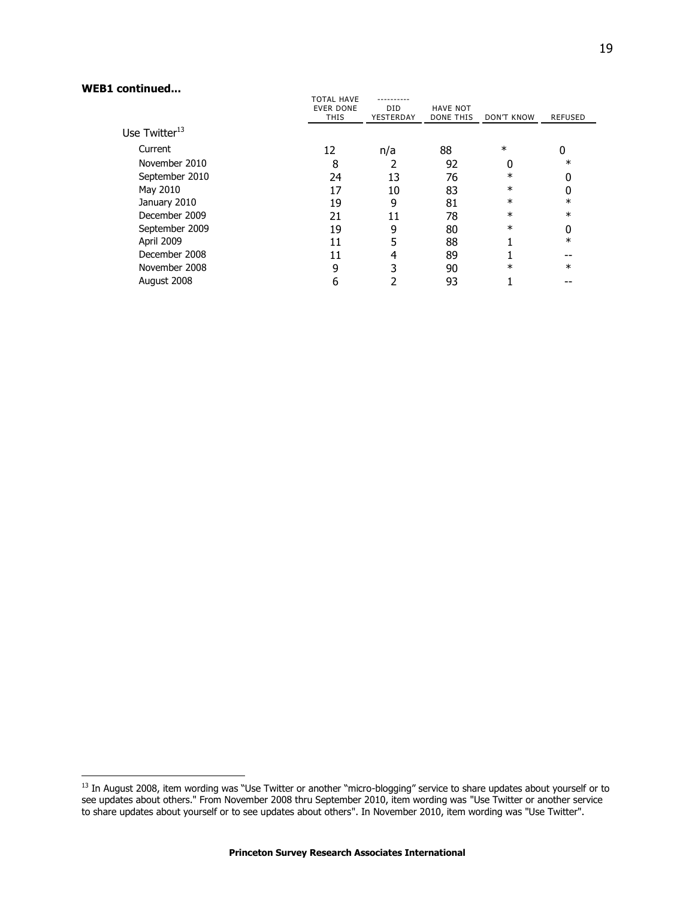#### **WEB1 continued...**

j

| ,,,,,,,,,,,,,,,,,         |                                       |           |                  |            |                |
|---------------------------|---------------------------------------|-----------|------------------|------------|----------------|
|                           | <b>TOTAL HAVE</b><br><b>EVER DONE</b> | DID.      | <b>HAVE NOT</b>  |            |                |
|                           | THIS                                  | YESTERDAY | <b>DONE THIS</b> | DON'T KNOW | <b>REFUSED</b> |
| Use Twitter <sup>13</sup> |                                       |           |                  |            |                |
| Current                   | 12                                    | n/a       | 88               | $\ast$     | U              |
| November 2010             | 8                                     |           | 92               |            | $\ast$         |
| September 2010            | 24                                    | 13        | 76               | $\ast$     |                |
| May 2010                  | 17                                    | 10        | 83               | $\ast$     |                |
| January 2010              | 19                                    | 9         | 81               | $\ast$     | $\ast$         |
| December 2009             | 21                                    | 11        | 78               | $\ast$     | $\ast$         |
| September 2009            | 19                                    | 9         | 80               | $\ast$     | 0              |
| April 2009                | 11                                    |           | 88               |            | $\ast$         |
| December 2008             | 11                                    |           | 89               |            |                |
| November 2008             | 9                                     |           | 90               | $^\ast$    | $\ast$         |
| August 2008               | 6                                     |           | 93               |            |                |
|                           |                                       |           |                  |            |                |

 $^{13}$  In August 2008, item wording was "Use Twitter or another "micro-blogging" service to share updates about yourself or to see updates about others." From November 2008 thru September 2010, item wording was "Use Twitter or another service to share updates about yourself or to see updates about others". In November 2010, item wording was "Use Twitter".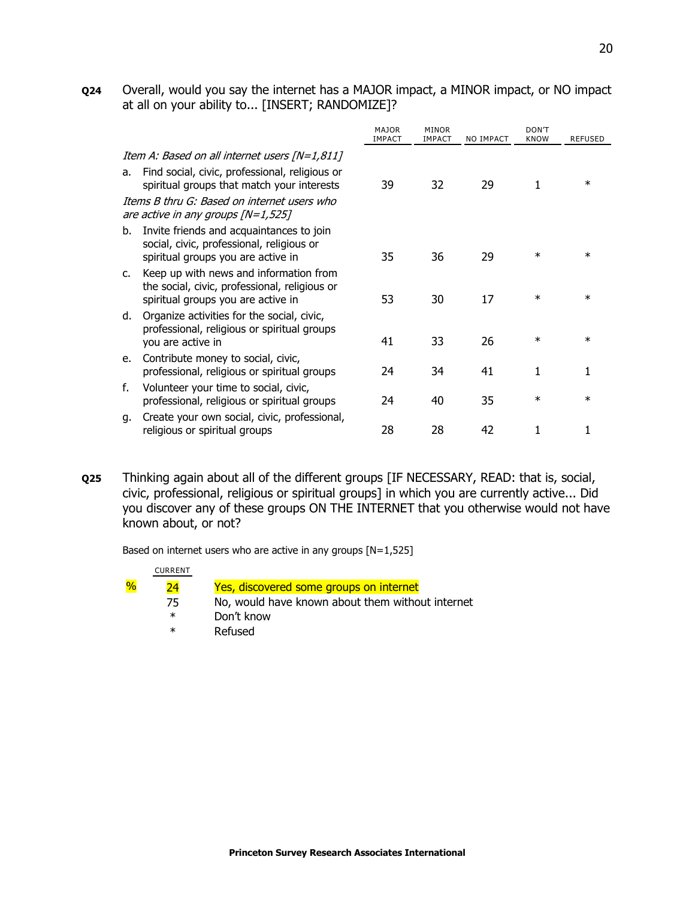**Q24** Overall, would you say the internet has a MAJOR impact, a MINOR impact, or NO impact at all on your ability to... [INSERT; RANDOMIZE]?

|    |                                                                                                                                                                                              | <b>MAJOR</b><br><b>IMPACT</b> | <b>MINOR</b><br><b>IMPACT</b> | NO IMPACT | DON'T<br><b>KNOW</b> | <b>REFUSED</b> |
|----|----------------------------------------------------------------------------------------------------------------------------------------------------------------------------------------------|-------------------------------|-------------------------------|-----------|----------------------|----------------|
| a. | Item A: Based on all internet users [N=1,811]<br>Find social, civic, professional, religious or<br>spiritual groups that match your interests<br>Items B thru G: Based on internet users who | 39                            | 32                            | 29        | 1                    | $\ast$         |
|    | are active in any groups $[N=1,525]$                                                                                                                                                         |                               |                               |           |                      |                |
| b. | Invite friends and acquaintances to join<br>social, civic, professional, religious or<br>spiritual groups you are active in                                                                  | 35                            | 36                            | 29        | $\ast$               | $\ast$         |
| C. | Keep up with news and information from<br>the social, civic, professional, religious or<br>spiritual groups you are active in                                                                | 53                            | 30                            | 17        | $\ast$               | $\ast$         |
| d. | Organize activities for the social, civic,<br>professional, religious or spiritual groups<br>you are active in                                                                               | 41                            | 33                            | 26        | ж                    | $\ast$         |
| e. | Contribute money to social, civic,<br>professional, religious or spiritual groups                                                                                                            | 24                            | 34                            | 41        | 1                    | 1              |
| f. | Volunteer your time to social, civic,<br>professional, religious or spiritual groups                                                                                                         | 24                            | 40                            | 35        | $\ast$               | $\ast$         |
| q. | Create your own social, civic, professional,<br>religious or spiritual groups                                                                                                                | 28                            | 28                            | 42        | 1                    |                |
|    |                                                                                                                                                                                              |                               |                               |           |                      |                |

**Q25** Thinking again about all of the different groups [IF NECESSARY, READ: that is, social, civic, professional, religious or spiritual groups] in which you are currently active... Did you discover any of these groups ON THE INTERNET that you otherwise would not have known about, or not?

Based on internet users who are active in any groups [N=1,525]

|               | <b>CURRENT</b> |                                                  |
|---------------|----------------|--------------------------------------------------|
| $\frac{1}{2}$ | ว4             | Yes, discovered some groups on internet          |
|               | 75             | No, would have known about them without internet |
|               | $\ast$         | Don't know                                       |
|               | $\ast$         | Refused                                          |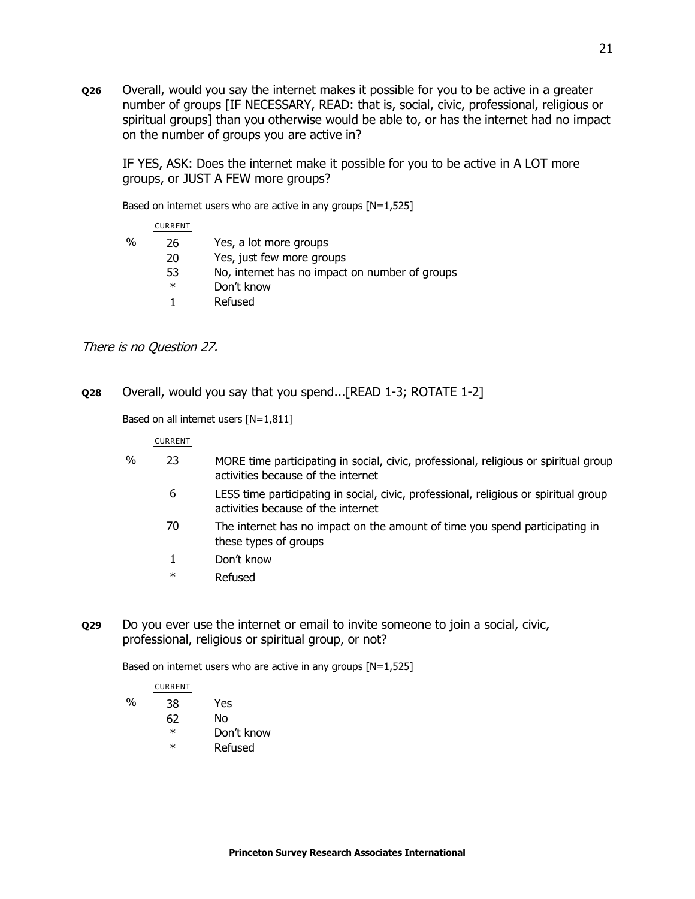**Q26** Overall, would you say the internet makes it possible for you to be active in a greater number of groups [IF NECESSARY, READ: that is, social, civic, professional, religious or spiritual groups] than you otherwise would be able to, or has the internet had no impact on the number of groups you are active in?

IF YES, ASK: Does the internet make it possible for you to be active in A LOT more groups, or JUST A FEW more groups?

Based on internet users who are active in any groups  $[N=1,525]$ 

#### CURRENT

| % | 26     | Yes, a lot more groups                         |
|---|--------|------------------------------------------------|
|   | 20     | Yes, just few more groups                      |
|   | 53     | No, internet has no impact on number of groups |
|   | $\ast$ | Don't know                                     |
|   |        | Refused                                        |

### There is no Question 27.

**Q28** Overall, would you say that you spend...[READ 1-3; ROTATE 1-2]

#### Based on all internet users [N=1,811]

#### CURRENT

- % 23 MORE time participating in social, civic, professional, religious or spiritual group activities because of the internet 6 LESS time participating in social, civic, professional, religious or spiritual group activities because of the internet 70 The internet has no impact on the amount of time you spend participating in these types of groups
	- 1 Don't know
	-
	- \* Refused
- **Q29** Do you ever use the internet or email to invite someone to join a social, civic, professional, religious or spiritual group, or not?

Based on internet users who are active in any groups  $[N=1,525]$ 

# CURRENT

- % 38 Yes 62 No
	- \* Don't know
	- \* Refused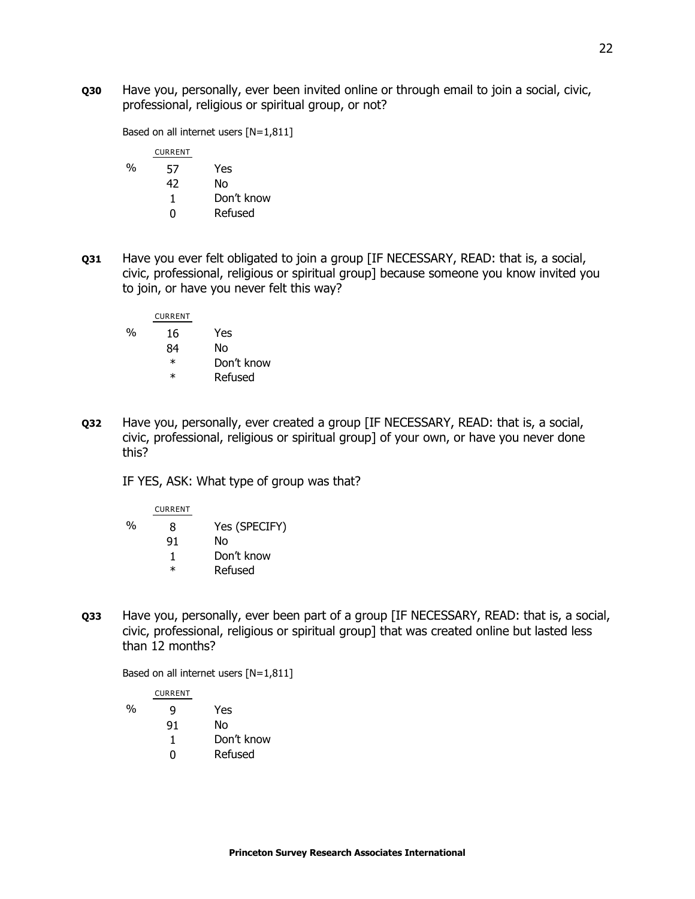**Q30** Have you, personally, ever been invited online or through email to join a social, civic, professional, religious or spiritual group, or not?

Based on all internet users [N=1,811]

|               | <b>CURRENT</b> |            |
|---------------|----------------|------------|
| $\frac{0}{0}$ | 57             | Yes        |
|               | 42             | N٥         |
|               | 1              | Don't know |
|               | $^{\circ}$     | Refused    |
|               |                |            |

**Q31** Have you ever felt obligated to join a group [IF NECESSARY, READ: that is, a social, civic, professional, religious or spiritual group] because someone you know invited you to join, or have you never felt this way?

CURRENT % 16 Yes 84 No

- \* Don't know
- \* Refused
- **Q32** Have you, personally, ever created a group [IF NECESSARY, READ: that is, a social, civic, professional, religious or spiritual group] of your own, or have you never done this?

IF YES, ASK: What type of group was that?

|   | <b>CURRENT</b> |               |
|---|----------------|---------------|
| % | 8              | Yes (SPECIFY) |
|   | 91             | N٥            |
|   | 1              | Don't know    |
|   | ж              | Refused       |

**Q33** Have you, personally, ever been part of a group [IF NECESSARY, READ: that is, a social, civic, professional, religious or spiritual group] that was created online but lasted less than 12 months?

Based on all internet users [N=1,811]

CURRENT % 9 Yes 91 No 1 Don't know 0 Refused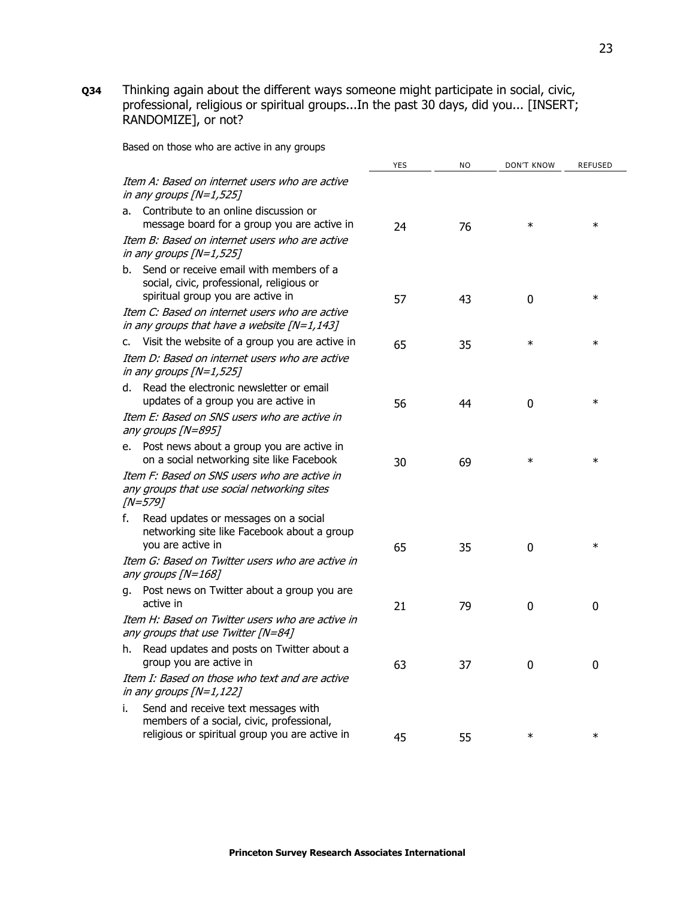**Q34** Thinking again about the different ways someone might participate in social, civic, professional, religious or spiritual groups...In the past 30 days, did you... [INSERT; RANDOMIZE], or not?

Based on those who are active in any groups

|    |                                                                                                                                    | <b>YES</b> | <b>NO</b> | DON'T KNOW  | <b>REFUSED</b> |
|----|------------------------------------------------------------------------------------------------------------------------------------|------------|-----------|-------------|----------------|
|    | Item A: Based on internet users who are active<br>in any groups $[N=1,525]$                                                        |            |           |             |                |
| а. | Contribute to an online discussion or<br>message board for a group you are active in                                               | 24         | 76        | $\ast$      | $\ast$         |
|    | Item B: Based on internet users who are active<br>in any groups $[N=1,525]$                                                        |            |           |             |                |
| b. | Send or receive email with members of a<br>social, civic, professional, religious or<br>spiritual group you are active in          | 57         | 43        | $\mathbf 0$ | $\ast$         |
|    | Item C: Based on internet users who are active<br>in any groups that have a website $[N=1,143]$                                    |            |           |             |                |
| c. | Visit the website of a group you are active in                                                                                     | 65         | 35        | $\ast$      | $\ast$         |
|    | Item D: Based on internet users who are active<br>in any groups $[N=1,525]$                                                        |            |           |             |                |
|    | d. Read the electronic newsletter or email<br>updates of a group you are active in                                                 | 56         | 44        | 0           | $\ast$         |
|    | Item E: Based on SNS users who are active in<br>any groups [N=895]                                                                 |            |           |             |                |
| е. | Post news about a group you are active in<br>on a social networking site like Facebook                                             | 30         | 69        | $\ast$      | $\ast$         |
|    | Item F: Based on SNS users who are active in<br>any groups that use social networking sites<br>$/N = 5797$                         |            |           |             |                |
| f. | Read updates or messages on a social<br>networking site like Facebook about a group<br>you are active in                           | 65         | 35        | 0           | $\ast$         |
|    | Item G: Based on Twitter users who are active in<br>any groups [N=168]                                                             |            |           |             |                |
| q. | Post news on Twitter about a group you are<br>active in                                                                            | 21         | 79        | 0           | $\mathbf 0$    |
|    | Item H: Based on Twitter users who are active in<br>any groups that use Twitter [N=84]                                             |            |           |             |                |
| h. | Read updates and posts on Twitter about a<br>group you are active in                                                               | 63         | 37        | 0           | $\mathbf 0$    |
|    | Item I: Based on those who text and are active<br>in any groups $[N=1, 122]$                                                       |            |           |             |                |
| i. | Send and receive text messages with<br>members of a social, civic, professional,<br>religious or spiritual group you are active in | 45         | 55        | $\ast$      | $\ast$         |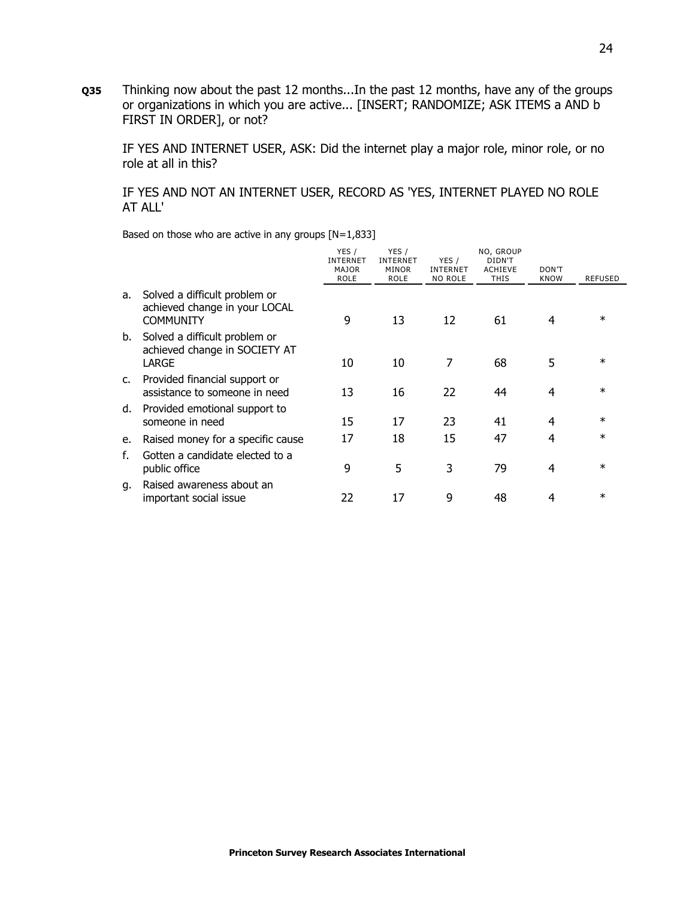**Q35** Thinking now about the past 12 months...In the past 12 months, have any of the groups or organizations in which you are active... [INSERT; RANDOMIZE; ASK ITEMS a AND b FIRST IN ORDER], or not?

IF YES AND INTERNET USER, ASK: Did the internet play a major role, minor role, or no role at all in this?

#### IF YES AND NOT AN INTERNET USER, RECORD AS 'YES, INTERNET PLAYED NO ROLE AT ALL'

Based on those who are active in any groups [N=1,833]

|               |                                                                                    | YES /<br><b>INTERNET</b><br><b>MAJOR</b><br><b>ROLE</b> | YES /<br><b>INTERNET</b><br><b>MINOR</b><br><b>ROLE</b> | YES /<br><b>INTERNET</b><br>NO ROLE | NO, GROUP<br>DIDN'T<br><b>ACHIEVE</b><br><b>THIS</b> | DON'T<br><b>KNOW</b> | <b>REFUSED</b> |
|---------------|------------------------------------------------------------------------------------|---------------------------------------------------------|---------------------------------------------------------|-------------------------------------|------------------------------------------------------|----------------------|----------------|
| а.            | Solved a difficult problem or<br>achieved change in your LOCAL<br><b>COMMUNITY</b> | 9                                                       | 13                                                      | 12                                  | 61                                                   | 4                    | $\ast$         |
| b.            | Solved a difficult problem or<br>achieved change in SOCIETY AT<br>LARGE            | 10                                                      | 10                                                      | 7                                   | 68                                                   | 5                    | $\ast$         |
| $C_{\bullet}$ | Provided financial support or<br>assistance to someone in need                     | 13                                                      | 16                                                      | 22                                  | 44                                                   | 4                    | $\ast$         |
| d.            | Provided emotional support to<br>someone in need                                   | 15                                                      | 17                                                      | 23                                  | 41                                                   | 4                    | $\ast$         |
| e.            | Raised money for a specific cause                                                  | 17                                                      | 18                                                      | 15                                  | 47                                                   | 4                    | $\ast$         |
| f.            | Gotten a candidate elected to a<br>public office                                   | 9                                                       | 5                                                       | 3                                   | 79                                                   | 4                    | $\ast$         |
| q.            | Raised awareness about an<br>important social issue                                | 22                                                      | 17                                                      | 9                                   | 48                                                   | 4                    | $\ast$         |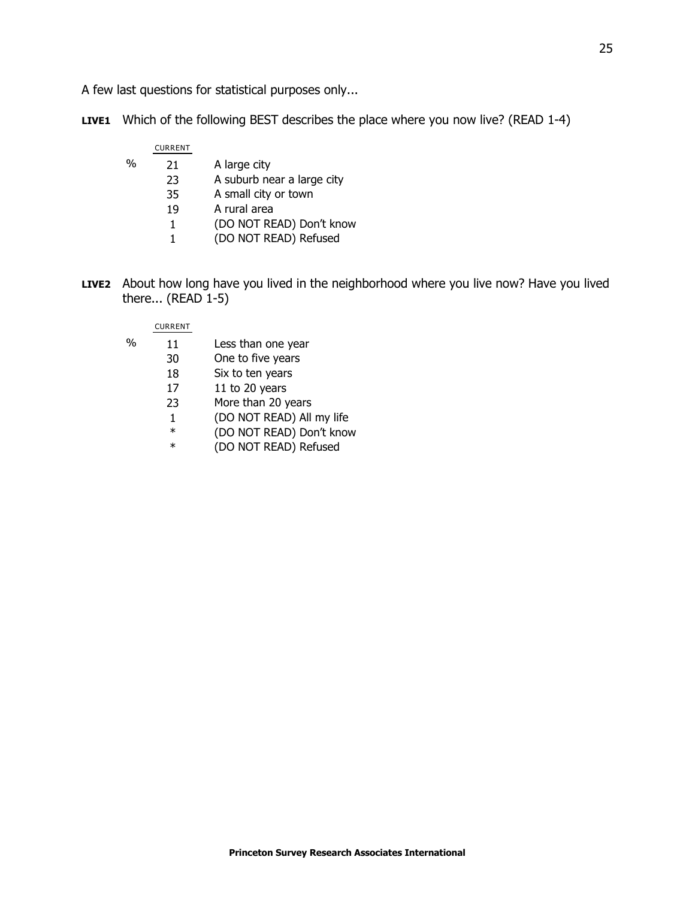A few last questions for statistical purposes only...

**LIVE1** Which of the following BEST describes the place where you now live? (READ 1-4)

|      | <b>CURRENT</b> |                            |
|------|----------------|----------------------------|
| $\%$ | 21             | A large city               |
|      | 23             | A suburb near a large city |
|      | 35             | A small city or town       |
|      | 19             | A rural area               |
|      | 1              | (DO NOT READ) Don't know   |
|      | 1              | (DO NOT READ) Refused      |

**LIVE2** About how long have you lived in the neighborhood where you live now? Have you lived there... (READ 1-5)

#### CURRENT

- % 11 Less than one year
	- 30 One to five years
	- 18 Six to ten years
	- 17 11 to 20 years
	- 23 More than 20 years
	- 1 (DO NOT READ) All my life
	- \* (DO NOT READ) Don't know
	- (DO NOT READ) Refused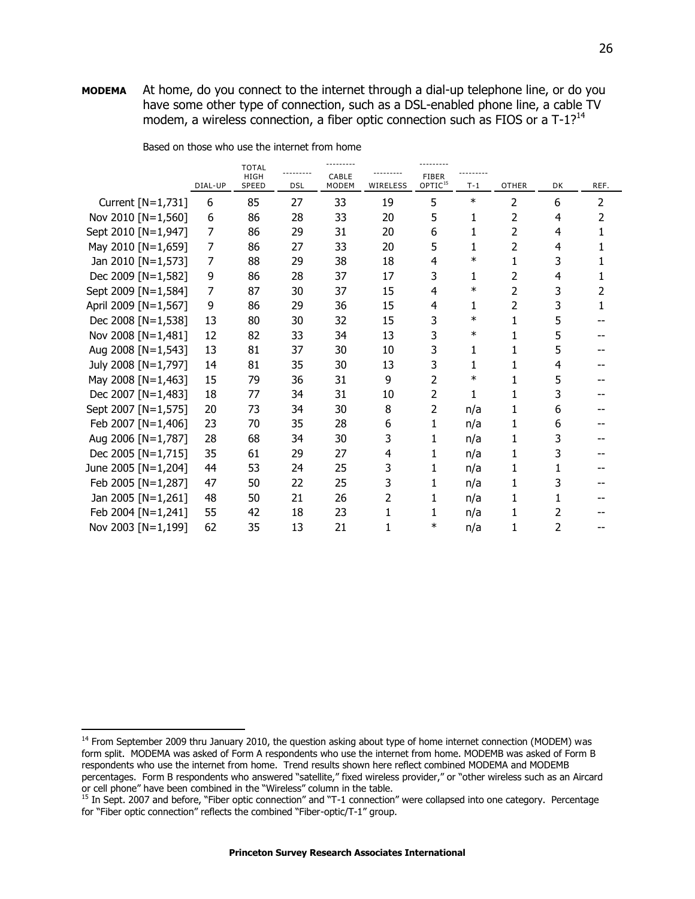**MODEMA** At home, do you connect to the internet through a dial-up telephone line, or do you have some other type of connection, such as a DSL-enabled phone line, a cable TV modem, a wireless connection, a fiber optic connection such as FIOS or a  $T-1$ ?<sup>14</sup>

|                      |         | <b>TOTAL</b><br>HIGH |            | CABLE        |          | <b>FIBER</b>        |        |              |    |      |
|----------------------|---------|----------------------|------------|--------------|----------|---------------------|--------|--------------|----|------|
|                      | DIAL-UP | <b>SPEED</b>         | <b>DSL</b> | <b>MODEM</b> | WIRELESS | OPTIC <sup>15</sup> | $T-1$  | <b>OTHER</b> | DK | REF. |
| Current [N=1,731]    | 6       | 85                   | 27         | 33           | 19       | 5                   | $\ast$ | 2            | 6  | 2    |
| Nov 2010 [N=1,560]   | 6       | 86                   | 28         | 33           | 20       | 5                   | 1      | 2            | 4  | 2    |
| Sept 2010 [N=1,947]  | 7       | 86                   | 29         | 31           | 20       | 6                   | 1      | 2            | 4  |      |
| May 2010 [N=1,659]   | 7       | 86                   | 27         | 33           | 20       | 5                   | 1      | 2            | 4  |      |
| Jan 2010 [N=1,573]   | 7       | 88                   | 29         | 38           | 18       | 4                   | $\ast$ | 1            | 3  |      |
| Dec 2009 [N=1,582]   | 9       | 86                   | 28         | 37           | 17       | 3                   | 1      | 2            | 4  | 1    |
| Sept 2009 [N=1,584]  | 7       | 87                   | 30         | 37           | 15       | 4                   | $\ast$ | 2            | 3  | 2    |
| April 2009 [N=1,567] | 9       | 86                   | 29         | 36           | 15       | 4                   | 1      | 2            | 3  | 1    |
| Dec 2008 [N=1,538]   | 13      | 80                   | 30         | 32           | 15       | 3                   | $\ast$ | 1            | 5  |      |
| Nov 2008 [N=1,481]   | 12      | 82                   | 33         | 34           | 13       | 3                   | $\ast$ | 1            | 5  |      |
| Aug 2008 [N=1,543]   | 13      | 81                   | 37         | 30           | 10       | 3                   | 1      | 1            | 5  |      |
| July 2008 [N=1,797]  | 14      | 81                   | 35         | 30           | 13       | 3                   | 1      | 1            | 4  |      |
| May 2008 [N=1,463]   | 15      | 79                   | 36         | 31           | 9        | 2                   | $\ast$ | 1            | 5  |      |
| Dec 2007 [N=1,483]   | 18      | 77                   | 34         | 31           | 10       | 2                   | 1      | 1            | 3  |      |
| Sept 2007 [N=1,575]  | 20      | 73                   | 34         | 30           | 8        | 2                   | n/a    | 1            | 6  |      |
| Feb 2007 [N=1,406]   | 23      | 70                   | 35         | 28           | 6        | 1                   | n/a    | 1            | 6  |      |
| Aug 2006 [N=1,787]   | 28      | 68                   | 34         | 30           | 3        | 1                   | n/a    | 1            | 3  |      |
| Dec 2005 [N=1,715]   | 35      | 61                   | 29         | 27           | 4        | 1                   | n/a    | 1            | 3  |      |
| June 2005 [N=1,204]  | 44      | 53                   | 24         | 25           | 3        | 1                   | n/a    | 1            |    |      |
| Feb 2005 [N=1,287]   | 47      | 50                   | 22         | 25           | 3        | 1                   | n/a    | 1            | 3  |      |
| Jan 2005 [N=1,261]   | 48      | 50                   | 21         | 26           | 2        | 1                   | n/a    | 1            |    |      |
| Feb 2004 [N=1,241]   | 55      | 42                   | 18         | 23           | 1        |                     | n/a    | 1            | 2  |      |
| Nov 2003 [N=1,199]   | 62      | 35                   | 13         | 21           | 1        | $\ast$              | n/a    | 1            | 2  |      |

Based on those who use the internet from home

j

<sup>&</sup>lt;sup>14</sup> From September 2009 thru January 2010, the question asking about type of home internet connection (MODEM) was form split. MODEMA was asked of Form A respondents who use the internet from home. MODEMB was asked of Form B respondents who use the internet from home. Trend results shown here reflect combined MODEMA and MODEMB percentages. Form B respondents who answered "satellite," fixed wireless provider," or "other wireless such as an Aircard or cell phone" have been combined in the "Wireless" column in the table.

<sup>15</sup> In Sept. 2007 and before, "Fiber optic connection" and "T-1 connection" were collapsed into one category. Percentage for "Fiber optic connection" reflects the combined "Fiber-optic/T-1" group.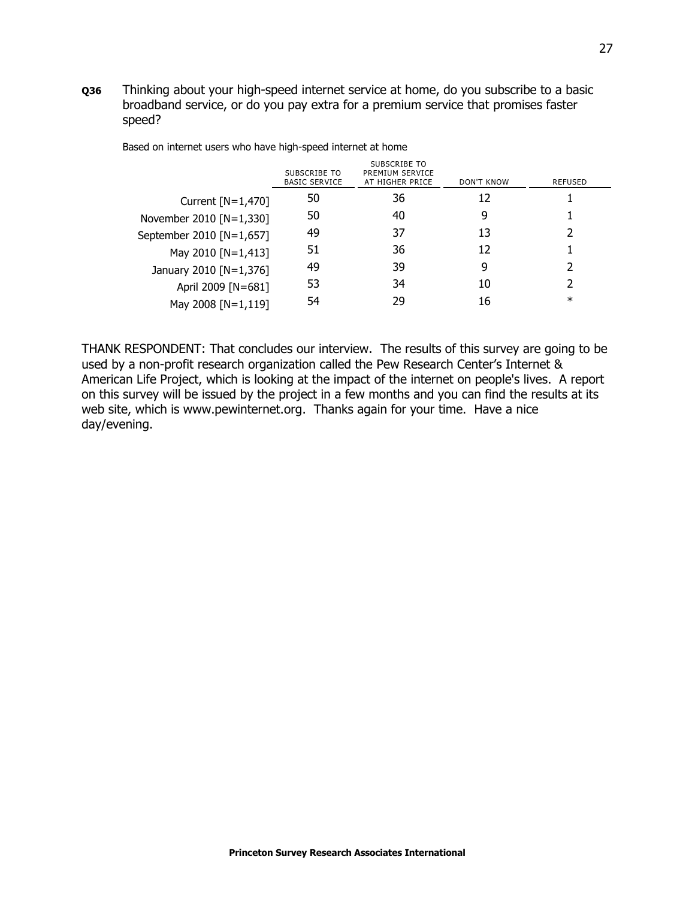**Q36** Thinking about your high-speed internet service at home, do you subscribe to a basic broadband service, or do you pay extra for a premium service that promises faster speed?

|                          | SUBSCRIBE TO<br><b>BASIC SERVICE</b> | SUBSCRIBE TO<br>PREMIUM SERVICE<br>AT HIGHER PRICE | DON'T KNOW | <b>REFUSED</b> |
|--------------------------|--------------------------------------|----------------------------------------------------|------------|----------------|
| Current $[N=1,470]$      | 50                                   | 36                                                 | 12         |                |
| November 2010 [N=1,330]  | 50                                   | 40                                                 | 9          |                |
| September 2010 [N=1,657] | 49                                   | 37                                                 | 13         | 2              |
| May 2010 [N=1,413]       | 51                                   | 36                                                 | 12         |                |
| January 2010 [N=1,376]   | 49                                   | 39                                                 | 9          | フ              |
| April 2009 [N=681]       | 53                                   | 34                                                 | 10         |                |
| May 2008 [N=1,119]       | 54                                   | 29                                                 | 16         | $\ast$         |

Based on internet users who have high-speed internet at home

THANK RESPONDENT: That concludes our interview. The results of this survey are going to be used by a non-profit research organization called the Pew Research Center's Internet & American Life Project, which is looking at the impact of the internet on people's lives. A report on this survey will be issued by the project in a few months and you can find the results at its web site, which is www.pewinternet.org. Thanks again for your time. Have a nice day/evening.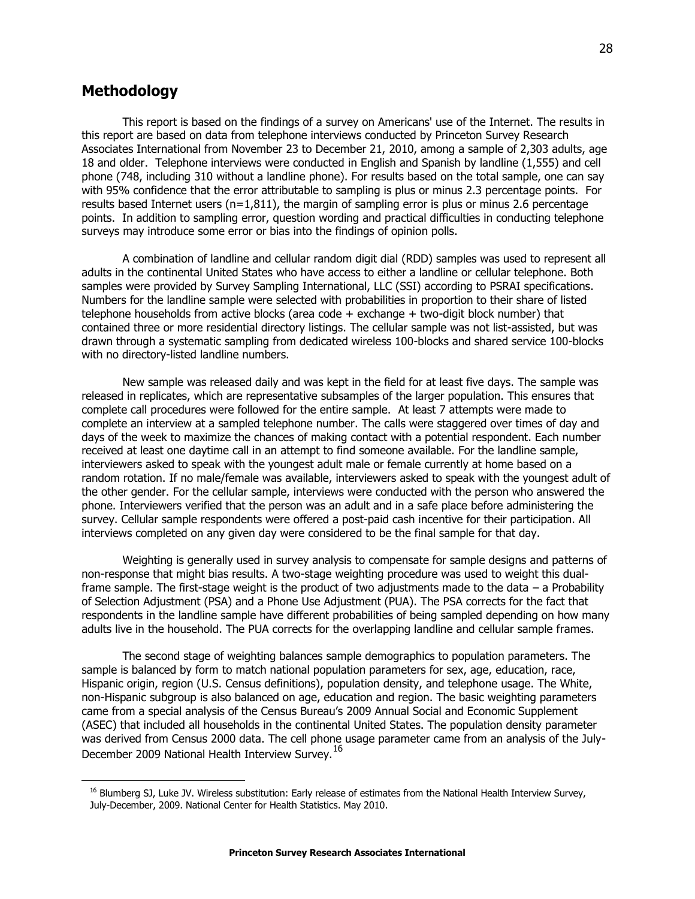# **Methodology**

 $\overline{a}$ 

This report is based on the findings of a survey on Americans' use of the Internet. The results in this report are based on data from telephone interviews conducted by Princeton Survey Research Associates International from November 23 to December 21, 2010, among a sample of 2,303 adults, age 18 and older. Telephone interviews were conducted in English and Spanish by landline (1,555) and cell phone (748, including 310 without a landline phone). For results based on the total sample, one can say with 95% confidence that the error attributable to sampling is plus or minus 2.3 percentage points. For results based Internet users ( $n=1,811$ ), the margin of sampling error is plus or minus 2.6 percentage points. In addition to sampling error, question wording and practical difficulties in conducting telephone surveys may introduce some error or bias into the findings of opinion polls.

A combination of landline and cellular random digit dial (RDD) samples was used to represent all adults in the continental United States who have access to either a landline or cellular telephone. Both samples were provided by Survey Sampling International, LLC (SSI) according to PSRAI specifications. Numbers for the landline sample were selected with probabilities in proportion to their share of listed telephone households from active blocks (area code + exchange + two-digit block number) that contained three or more residential directory listings. The cellular sample was not list-assisted, but was drawn through a systematic sampling from dedicated wireless 100-blocks and shared service 100-blocks with no directory-listed landline numbers.

New sample was released daily and was kept in the field for at least five days. The sample was released in replicates, which are representative subsamples of the larger population. This ensures that complete call procedures were followed for the entire sample. At least 7 attempts were made to complete an interview at a sampled telephone number. The calls were staggered over times of day and days of the week to maximize the chances of making contact with a potential respondent. Each number received at least one daytime call in an attempt to find someone available. For the landline sample, interviewers asked to speak with the youngest adult male or female currently at home based on a random rotation. If no male/female was available, interviewers asked to speak with the youngest adult of the other gender. For the cellular sample, interviews were conducted with the person who answered the phone. Interviewers verified that the person was an adult and in a safe place before administering the survey. Cellular sample respondents were offered a post-paid cash incentive for their participation. All interviews completed on any given day were considered to be the final sample for that day.

Weighting is generally used in survey analysis to compensate for sample designs and patterns of non-response that might bias results. A two-stage weighting procedure was used to weight this dualframe sample. The first-stage weight is the product of two adjustments made to the data – a Probability of Selection Adjustment (PSA) and a Phone Use Adjustment (PUA). The PSA corrects for the fact that respondents in the landline sample have different probabilities of being sampled depending on how many adults live in the household. The PUA corrects for the overlapping landline and cellular sample frames.

The second stage of weighting balances sample demographics to population parameters. The sample is balanced by form to match national population parameters for sex, age, education, race, Hispanic origin, region (U.S. Census definitions), population density, and telephone usage. The White, non-Hispanic subgroup is also balanced on age, education and region. The basic weighting parameters came from a special analysis of the Census Bureau's 2009 Annual Social and Economic Supplement (ASEC) that included all households in the continental United States. The population density parameter was derived from Census 2000 data. The cell phone usage parameter came from an analysis of the July-December 2009 National Health Interview Survey.<sup>16</sup>

<sup>&</sup>lt;sup>16</sup> Blumberg SJ, Luke JV. Wireless substitution: Early release of estimates from the National Health Interview Survey, July-December, 2009. National Center for Health Statistics. May 2010.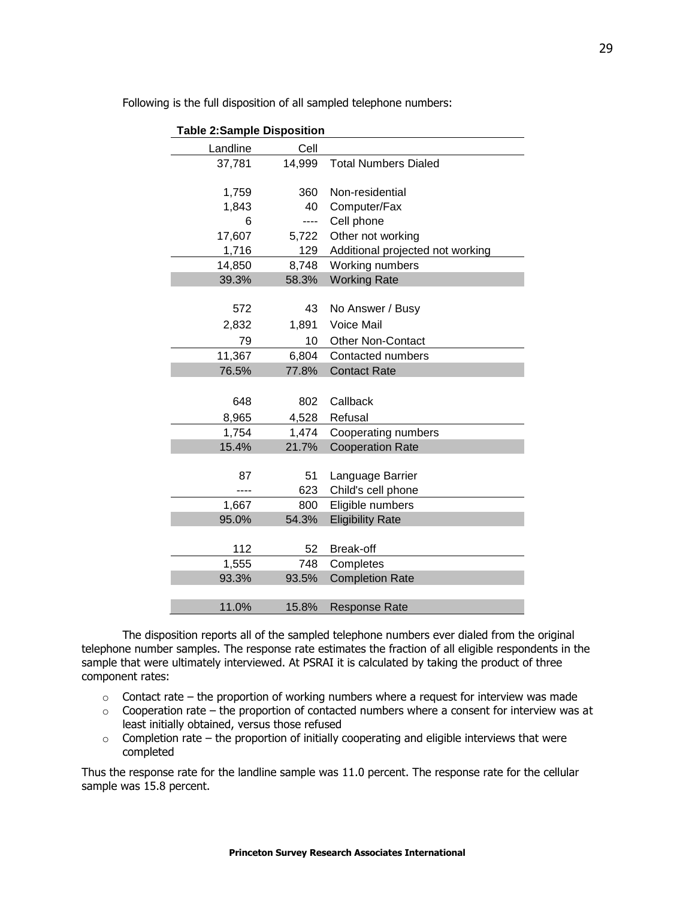| <b>Table 2:Sample Disposition</b> |        |                                  |  |  |  |  |
|-----------------------------------|--------|----------------------------------|--|--|--|--|
| Landline                          | Cell   |                                  |  |  |  |  |
| 37,781                            | 14,999 | <b>Total Numbers Dialed</b>      |  |  |  |  |
|                                   |        |                                  |  |  |  |  |
| 1,759                             | 360    | Non-residential                  |  |  |  |  |
| 1,843                             | 40     | Computer/Fax                     |  |  |  |  |
| 6                                 | ----   | Cell phone                       |  |  |  |  |
| 17,607                            | 5,722  | Other not working                |  |  |  |  |
| 1,716                             | 129    | Additional projected not working |  |  |  |  |
| 14,850                            | 8,748  | Working numbers                  |  |  |  |  |
| 39.3%                             | 58.3%  | <b>Working Rate</b>              |  |  |  |  |
|                                   |        |                                  |  |  |  |  |
| 572                               | 43     | No Answer / Busy                 |  |  |  |  |
| 2,832                             | 1,891  | <b>Voice Mail</b>                |  |  |  |  |
| 79                                | 10     | <b>Other Non-Contact</b>         |  |  |  |  |
| 11,367                            | 6,804  | Contacted numbers                |  |  |  |  |
| 76.5%                             | 77.8%  | <b>Contact Rate</b>              |  |  |  |  |
|                                   |        |                                  |  |  |  |  |
| 648                               | 802    | Callback                         |  |  |  |  |
| 8,965                             | 4,528  | Refusal                          |  |  |  |  |
| 1,754                             | 1,474  | Cooperating numbers              |  |  |  |  |
| 15.4%                             | 21.7%  | <b>Cooperation Rate</b>          |  |  |  |  |
|                                   |        |                                  |  |  |  |  |
| 87                                | 51     | Language Barrier                 |  |  |  |  |
|                                   | 623    | Child's cell phone               |  |  |  |  |
| 1,667                             | 800    | Eligible numbers                 |  |  |  |  |
| 95.0%                             | 54.3%  | <b>Eligibility Rate</b>          |  |  |  |  |
|                                   |        |                                  |  |  |  |  |
| 112                               | 52     | Break-off                        |  |  |  |  |
| 1,555                             | 748    | Completes                        |  |  |  |  |
| 93.3%                             | 93.5%  | <b>Completion Rate</b>           |  |  |  |  |
|                                   |        |                                  |  |  |  |  |
| 11.0%                             | 15.8%  | <b>Response Rate</b>             |  |  |  |  |

Following is the full disposition of all sampled telephone numbers:

The disposition reports all of the sampled telephone numbers ever dialed from the original telephone number samples. The response rate estimates the fraction of all eligible respondents in the sample that were ultimately interviewed. At PSRAI it is calculated by taking the product of three component rates:

- $\circ$  Contact rate the proportion of working numbers where a request for interview was made
- $\circ$  Cooperation rate the proportion of contacted numbers where a consent for interview was at least initially obtained, versus those refused
- $\circ$  Completion rate the proportion of initially cooperating and eligible interviews that were completed

Thus the response rate for the landline sample was 11.0 percent. The response rate for the cellular sample was 15.8 percent.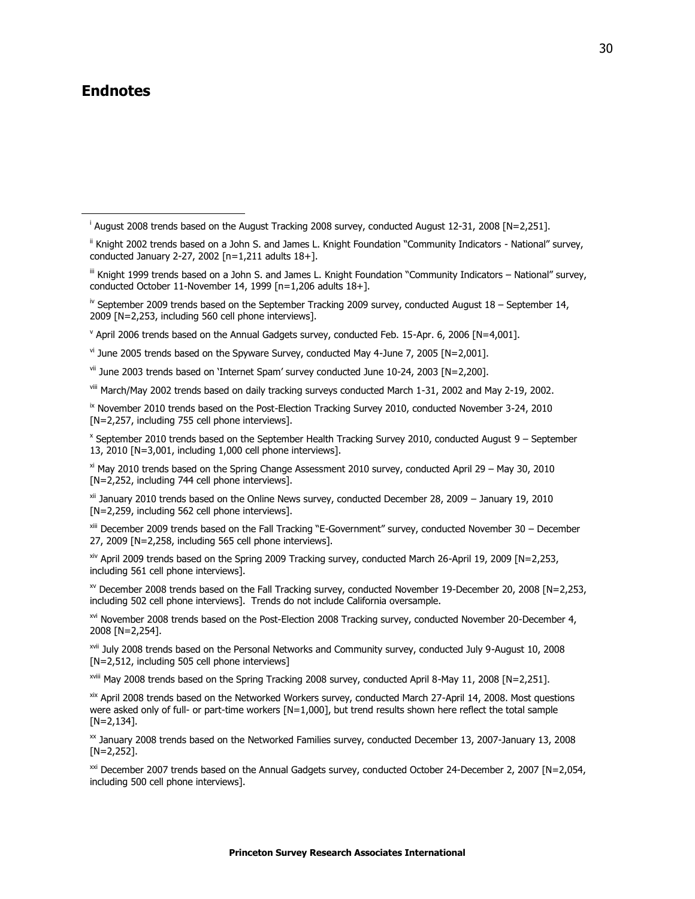# **Endnotes**

j

v April 2006 trends based on the Annual Gadgets survey, conducted Feb. 15-Apr. 6, 2006 [N=4,001].

 $v$ <sup>i</sup> June 2005 trends based on the Spyware Survey, conducted May 4-June 7, 2005  $[Ne-2,001]$ .

 $vii$  June 2003 trends based on 'Internet Spam' survey conducted June 10-24, 2003  $IN=2.2001$ .

viii March/May 2002 trends based on daily tracking surveys conducted March 1-31, 2002 and May 2-19, 2002.

<sup>ix</sup> November 2010 trends based on the Post-Election Tracking Survey 2010, conducted November 3-24, 2010 [N=2,257, including 755 cell phone interviews].

x September 2010 trends based on the September Health Tracking Survey 2010, conducted August 9 – September 13, 2010 [N=3,001, including 1,000 cell phone interviews].

 $x$ <sup>i</sup> May 2010 trends based on the Spring Change Assessment 2010 survey, conducted April 29 – May 30, 2010 [N=2,252, including 744 cell phone interviews].

xii January 2010 trends based on the Online News survey, conducted December 28, 2009 – January 19, 2010 [N=2,259, including 562 cell phone interviews].

xiii December 2009 trends based on the Fall Tracking "E-Government" survey, conducted November 30 - December 27, 2009 [N=2,258, including 565 cell phone interviews].

xiv April 2009 trends based on the Spring 2009 Tracking survey, conducted March 26-April 19, 2009 [N=2,253, including 561 cell phone interviews].

 $x$ <sup>y</sup> December 2008 trends based on the Fall Tracking survey, conducted November 19-December 20, 2008 [N=2,253, including 502 cell phone interviews]. Trends do not include California oversample.

xvi November 2008 trends based on the Post-Election 2008 Tracking survey, conducted November 20-December 4, 2008 [N=2,254].

xvii July 2008 trends based on the Personal Networks and Community survey, conducted July 9-August 10, 2008 [N=2,512, including 505 cell phone interviews]

xviii May 2008 trends based on the Spring Tracking 2008 survey, conducted April 8-May 11, 2008 [N=2,251].

xix April 2008 trends based on the Networked Workers survey, conducted March 27-April 14, 2008. Most questions were asked only of full- or part-time workers  $[N=1,000]$ , but trend results shown here reflect the total sample  $[N=2,134]$ .

xx January 2008 trends based on the Networked Families survey, conducted December 13, 2007-January 13, 2008  $[N=2.252]$ .

<sup>xxi</sup> December 2007 trends based on the Annual Gadgets survey, conducted October 24-December 2, 2007 [N=2,054, including 500 cell phone interviews].

i August 2008 trends based on the August Tracking 2008 survey, conducted August 12-31, 2008 [N=2,251].

ii Knight 2002 trends based on a John S. and James L. Knight Foundation "Community Indicators - National" survey, conducted January 2-27, 2002 [n=1,211 adults 18+].

iii Knight 1999 trends based on a John S. and James L. Knight Foundation "Community Indicators – National" survey, conducted October 11-November 14, 1999 [n=1,206 adults 18+].

 $\frac{1}{10}$  September 2009 trends based on the September Tracking 2009 survey, conducted August 18 – September 14, 2009 [N=2,253, including 560 cell phone interviews].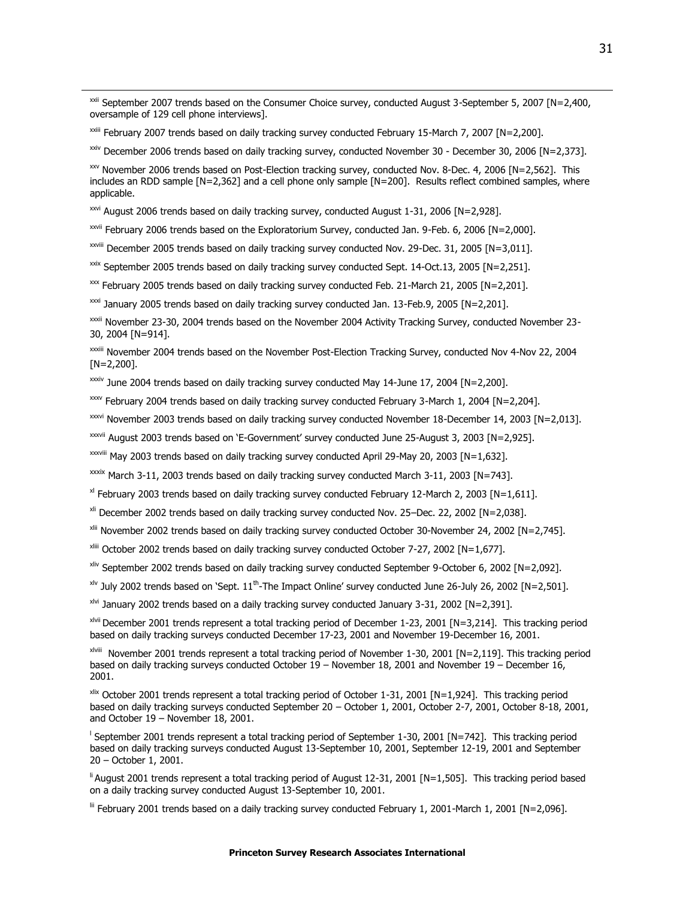xxii September 2007 trends based on the Consumer Choice survey, conducted August 3-September 5, 2007 [N=2,400, oversample of 129 cell phone interviews].

xxiii February 2007 trends based on daily tracking survey conducted February 15-March 7, 2007 [N=2,200].

xxiv December 2006 trends based on daily tracking survey, conducted November 30 - December 30, 2006 [N=2,373].

xxv November 2006 trends based on Post-Election tracking survey, conducted Nov. 8-Dec. 4, 2006 [N=2,562]. This includes an RDD sample [N=2,362] and a cell phone only sample [N=200]. Results reflect combined samples, where applicable.

xxvi August 2006 trends based on daily tracking survey, conducted August 1-31, 2006 [N=2,928].

 $\overline{a}$ 

xxvii February 2006 trends based on the Exploratorium Survey, conducted Jan. 9-Feb. 6, 2006 [N=2,000].

xxviii December 2005 trends based on daily tracking survey conducted Nov. 29-Dec. 31, 2005 [N=3,011].

xxix September 2005 trends based on daily tracking survey conducted Sept. 14-Oct.13, 2005 [N=2,251].

xxx February 2005 trends based on daily tracking survey conducted Feb. 21-March 21, 2005 [N=2,201].

 $x\alpha i$  January 2005 trends based on daily tracking survey conducted Jan. 13-Feb.9, 2005 [N=2,201].

xxxii November 23-30, 2004 trends based on the November 2004 Activity Tracking Survey, conducted November 23- 30, 2004 [N=914].

xxxiii November 2004 trends based on the November Post-Election Tracking Survey, conducted Nov 4-Nov 22, 2004  $[N=2,200]$ .

xxxiv June 2004 trends based on daily tracking survey conducted May 14-June 17, 2004 [N=2,200].

 $\frac{2000}{x}$  February 2004 trends based on daily tracking survey conducted February 3-March 1, 2004 [N=2,204].

xxxvi November 2003 trends based on daily tracking survey conducted November 18-December 14, 2003 [N=2,013].

xxxvii August 2003 trends based on 'E-Government' survey conducted June 25-August 3, 2003 [N=2,925].

xxxviii May 2003 trends based on daily tracking survey conducted April 29-May 20, 2003 [N=1,632].

xxxix March 3-11, 2003 trends based on daily tracking survey conducted March 3-11, 2003 [N=743].

 $x$ <sup>I</sup> February 2003 trends based on daily tracking survey conducted February 12-March 2, 2003 [N=1,611].

xli December 2002 trends based on daily tracking survey conducted Nov. 25–Dec. 22, 2002 [N=2,038].

xlii November 2002 trends based on daily tracking survey conducted October 30-November 24, 2002 [N=2,745].

 $x^{\text{limit}}$  October 2002 trends based on daily tracking survey conducted October 7-27, 2002 [N=1,677].

xliv September 2002 trends based on daily tracking survey conducted September 9-October 6, 2002 [N=2,092].

 $x^{\rm uv}$  July 2002 trends based on 'Sept.  $11^{\rm th}$ -The Impact Online' survey conducted June 26-July 26, 2002 [N=2,501].

xlvi January 2002 trends based on a daily tracking survey conducted January 3-31, 2002 [N=2,391].

xlvii December 2001 trends represent a total tracking period of December 1-23, 2001 [N=3,214]. This tracking period based on daily tracking surveys conducted December 17-23, 2001 and November 19-December 16, 2001.

xlviii November 2001 trends represent a total tracking period of November 1-30, 2001 [N=2,119]. This tracking period based on daily tracking surveys conducted October 19 – November 18, 2001 and November 19 – December 16, 2001.

xlix October 2001 trends represent a total tracking period of October 1-31, 2001 [N=1,924]. This tracking period based on daily tracking surveys conducted September 20 – October 1, 2001, October 2-7, 2001, October 8-18, 2001, and October 19 – November 18, 2001.

l September 2001 trends represent a total tracking period of September 1-30, 2001 [N=742]. This tracking period based on daily tracking surveys conducted August 13-September 10, 2001, September 12-19, 2001 and September 20 – October 1, 2001.

li August 2001 trends represent a total tracking period of August 12-31, 2001 [N=1,505]. This tracking period based on a daily tracking survey conducted August 13-September 10, 2001.

lii February 2001 trends based on a daily tracking survey conducted February 1, 2001-March 1, 2001 [N=2,096].